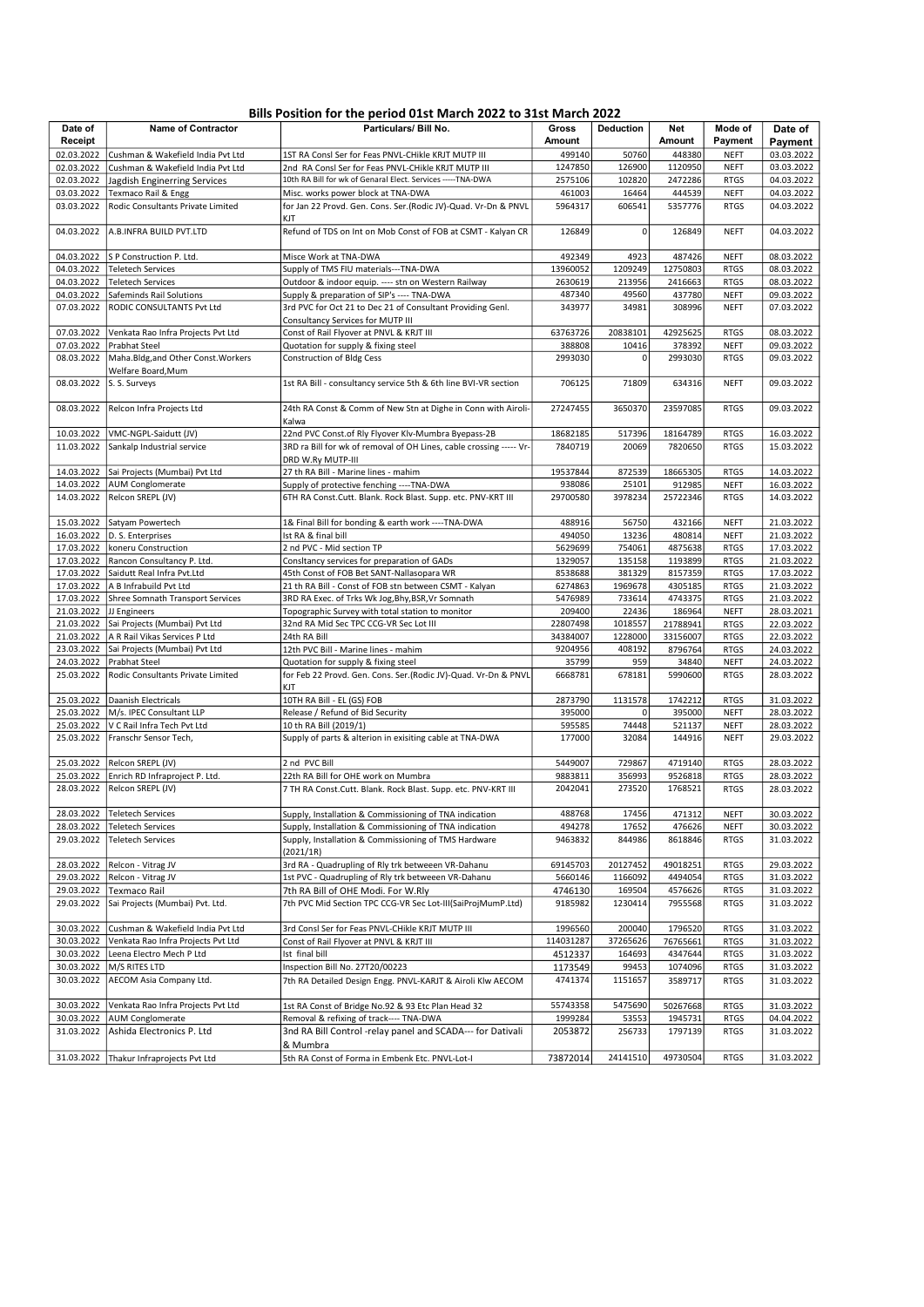# Bills Position for the period 01st March 2022 to 31st March 2022

|                          |                                                          | <b>DIIIS POSITION TOF THE DEFIOU USE IMATCH ZUZZ TO SIST IMATCH ZUZZ</b>                                            |                    |                  |                    |                            |                          |
|--------------------------|----------------------------------------------------------|---------------------------------------------------------------------------------------------------------------------|--------------------|------------------|--------------------|----------------------------|--------------------------|
| Date of<br>Receipt       | <b>Name of Contractor</b>                                | Particulars/ Bill No.                                                                                               | Gross<br>Amount    | <b>Deduction</b> | Net<br>Amount      | Mode of<br>Payment         | Date of<br>Payment       |
|                          |                                                          |                                                                                                                     | 499140             | 50760            | 448380             | <b>NEFT</b>                | 03.03.2022               |
| 02.03.2022<br>02.03.2022 | Cushman & Wakefield India Pvt Ltd                        | 1ST RA Consl Ser for Feas PNVL-CHikle KRJT MUTP III                                                                 | 1247850            | 126900           | 1120950            | <b>NEFT</b>                | 03.03.2022               |
| 02.03.2022               | Cushman & Wakefield India Pvt Ltd                        | 2nd RA Consl Ser for Feas PNVL-CHikle KRJT MUTP III<br>10th RA Bill for wk of Genaral Elect. Services ----- TNA-DWA | 2575106            | 102820           | 2472286            | <b>RTGS</b>                | 04.03.2022               |
| 03.03.2022               | Jagdish Enginerring Services                             | Misc. works power block at TNA-DWA                                                                                  | 461003             |                  | 444539             |                            | 04.03.2022               |
|                          | Texmaco Rail & Engg                                      |                                                                                                                     |                    | 16464            |                    | <b>NEFT</b>                | 04.03.2022               |
| 03.03.2022               | Rodic Consultants Private Limited                        | for Jan 22 Provd. Gen. Cons. Ser.(Rodic JV)-Quad. Vr-Dn & PNVL<br>KJT                                               | 5964317            | 606541           | 5357776            | <b>RTGS</b>                |                          |
| 04.03.2022               | A.B.INFRA BUILD PVT.LTD                                  | Refund of TDS on Int on Mob Const of FOB at CSMT - Kalyan CR                                                        | 126849             | $\overline{0}$   | 126849             | <b>NEFT</b>                | 04.03.2022               |
| 04.03.2022               | S P Construction P. Ltd.                                 | Misce Work at TNA-DWA                                                                                               | 492349             | 4923             | 487426             | <b>NEFT</b>                | 08.03.2022               |
| 04.03.2022               | <b>Teletech Services</b>                                 | Supply of TMS FIU materials---TNA-DWA                                                                               | 13960052           | 1209249          | 12750803           | <b>RTGS</b>                | 08.03.2022               |
| 04.03.2022               | <b>Teletech Services</b>                                 | Outdoor & indoor equip. ---- stn on Western Railway                                                                 | 2630619            | 213956           | 2416663            | <b>RTGS</b>                | 08.03.2022               |
| 04.03.2022               | Safeminds Rail Solutions                                 | Supply & preparation of SIP's ---- TNA-DWA                                                                          | 487340             | 49560            | 437780             | <b>NEFT</b>                | 09.03.2022               |
| 07.03.2022               | RODIC CONSULTANTS Pvt Ltd                                | 3rd PVC for Oct 21 to Dec 21 of Consultant Providing Genl.<br>Consultancy Services for MUTP III                     | 343977             | 34981            | 308996             | <b>NEFT</b>                | 07.03.2022               |
| 07.03.2022               | Venkata Rao Infra Projects Pvt Ltd                       | Const of Rail Flyover at PNVL & KRJT III                                                                            | 63763726           | 20838101         | 42925625           | <b>RTGS</b>                | 08.03.2022               |
| 07.03.2022               | Prabhat Steel                                            | Quotation for supply & fixing steel                                                                                 | 388808             | 10416            | 378392             | <b>NEFT</b>                | 09.03.2022               |
| 08.03.2022               | Maha.Bldg, and Other Const. Workers                      | <b>Construction of Bldg Cess</b>                                                                                    | 2993030            | 0                | 2993030            | <b>RTGS</b>                | 09.03.2022               |
|                          | Welfare Board, Mum                                       |                                                                                                                     |                    |                  |                    |                            |                          |
| 08.03.2022               | S. S. Surveys                                            | 1st RA Bill - consultancy service 5th & 6th line BVI-VR section                                                     | 706125             | 71809            | 634316             | <b>NEFT</b>                | 09.03.2022               |
| 08.03.2022               | Relcon Infra Projects Ltd                                | 24th RA Const & Comm of New Stn at Dighe in Conn with Airoli-<br>Kalwa                                              | 27247455           | 3650370          | 23597085           | <b>RTGS</b>                | 09.03.2022               |
| 10.03.2022               | VMC-NGPL-Saidutt (JV)                                    | 22nd PVC Const.of Rly Flyover Klv-Mumbra Byepass-2B                                                                 | 18682185           | 517396           | 18164789           | <b>RTGS</b>                | 16.03.2022               |
| 11.03.2022               | Sankalp Industrial service                               | 3RD ra Bill for wk of removal of OH Lines, cable crossing ----- Vr-<br>DRD W.Ry MUTP-III                            | 7840719            | 20069            | 7820650            | <b>RTGS</b>                | 15.03.2022               |
| 14.03.2022               |                                                          | 27 th RA Bill - Marine lines - mahim                                                                                |                    |                  |                    |                            | 14.03.2022               |
| 14.03.2022               | Sai Projects (Mumbai) Pvt Ltd<br><b>AUM Conglomerate</b> |                                                                                                                     | 19537844<br>938086 | 872539<br>25101  | 18665305<br>912985 | <b>RTGS</b>                | 16.03.2022               |
| 14.03.2022               | Relcon SREPL (JV)                                        | Supply of protective fenching ---- TNA-DWA<br>6TH RA Const.Cutt. Blank. Rock Blast. Supp. etc. PNV-KRT III          | 29700580           | 3978234          | 25722346           | <b>NEFT</b><br><b>RTGS</b> | 14.03.2022               |
|                          |                                                          |                                                                                                                     |                    |                  |                    |                            |                          |
| 15.03.2022               | Satyam Powertech                                         | 1& Final Bill for bonding & earth work ---- TNA-DWA                                                                 | 488916             | 56750            | 432166             | <b>NEFT</b>                | 21.03.2022               |
| 16.03.2022               | D. S. Enterprises                                        | Ist RA & final bill                                                                                                 | 494050             | 13236            | 480814             | <b>NEFT</b>                | 21.03.2022               |
| 17.03.2022               | koneru Construction                                      | 2 nd PVC - Mid section TP                                                                                           | 5629699            | 754061           | 4875638            | <b>RTGS</b>                | 17.03.2022               |
| 17.03.2022               | Rancon Consultancy P. Ltd.                               | Consitancy services for preparation of GADs                                                                         | 1329057            | 135158           | 1193899            | <b>RTGS</b>                | 21.03.2022               |
| 17.03.2022               | Saidutt Real Infra Pvt.Ltd                               | 45th Const of FOB Bet SANT-Nallasopara WR                                                                           | 8538688            | 381329           | 8157359            | <b>RTGS</b>                | 17.03.2022               |
|                          | 17.03.2022   A B Infrabuild Pvt Ltd                      | 21 th RA Bill - Const of FOB stn between CSMT - Kalyan                                                              | 6274863            | 1969678          | 4305185            | <b>RTGS</b>                | 21.03.2022               |
| 17.03.2022               | Shree Somnath Transport Services                         | 3RD RA Exec. of Trks Wk Jog, Bhy, BSR, Vr Somnath                                                                   | 5476989            | 733614           | 4743375            | <b>RTGS</b>                | 21.03.2022               |
| 21.03.2022               | JJ Engineers                                             | Topographic Survey with total station to monitor                                                                    | 209400             | 22436            | 186964             | <b>NEFT</b>                | 28.03.2021               |
| 21.03.2022               | Sai Projects (Mumbai) Pvt Ltd                            | 32nd RA Mid Sec TPC CCG-VR Sec Lot III                                                                              | 22807498           | 1018557          | 21788941           | <b>RTGS</b>                | 22.03.2022               |
| 21.03.2022               | A R Rail Vikas Services P Ltd                            | 24th RA Bill                                                                                                        | 34384007           | 1228000          | 33156007           | <b>RTGS</b>                | 22.03.2022               |
| 23.03.2022               | Sai Projects (Mumbai) Pvt Ltd                            | 12th PVC Bill - Marine lines - mahim                                                                                | 9204956            | 408192           | 8796764            | <b>RTGS</b>                | 24.03.2022               |
| 24.03.2022               | Prabhat Steel                                            | Quotation for supply & fixing steel                                                                                 | 35799              | 959              | 34840              | <b>NEFT</b>                | 24.03.2022               |
| 25.03.2022               | Rodic Consultants Private Limited                        | for Feb 22 Provd. Gen. Cons. Ser.(Rodic JV)-Quad. Vr-Dn & PNVL<br>KJT                                               | 6668781            | 678181           | 5990600            | <b>RTGS</b>                | 28.03.2022               |
| 25.03.2022               | Daanish Electricals                                      | 10TH RA Bill - EL (GS) FOB                                                                                          | 2873790            | 1131578          | 1742212            | <b>RTGS</b>                | 31.03.2022               |
| 25.03.2022               | M/s. IPEC Consultant LLP                                 | Release / Refund of Bid Security                                                                                    | 395000             | $\mathsf 0$      | 395000             | <b>NEFT</b>                | 28.03.2022               |
| 25.03.2022               | V C Rail Infra Tech Pvt Ltd                              | 10 th RA Bill (2019/1)                                                                                              | 595585             | 74448            | 521137             | NEFT                       | 28.03.2022               |
| 25.03.2022               | Franschr Sensor Tech,                                    | Supply of parts & alterion in exisiting cable at TNA-DWA                                                            | 177000             | 32084            | 144916             | <b>NEFT</b>                | 29.03.2022               |
| 25.03.2022               | Relcon SREPL (JV)                                        | 2 nd PVC Bill                                                                                                       | 5449007            | 729867           | 4719140            | <b>RTGS</b>                | 28.03.2022               |
| 25.03.2022               | Enrich RD Infraproject P. Ltd.                           | 22th RA Bill for OHE work on Mumbra                                                                                 | 9883811            | 356993           | 9526818            | <b>RTGS</b>                | 28.03.2022               |
| 28.03.2022               | Relcon SREPL (JV)                                        | 7 TH RA Const.Cutt. Blank. Rock Blast. Supp. etc. PNV-KRT III                                                       | 2042041            | 273520           | 1768521            | <b>RTGS</b>                | 28.03.2022               |
|                          | 28.03.2022   Teletech Services                           | Supply, Installation & Commissioning of TNA indication                                                              | 488768             | 17456            | 471312             | NEFT                       | 30.03.2022               |
|                          | 28.03.2022 Teletech Services                             | Supply, Installation & Commissioning of TNA indication                                                              | 494278             | 17652            | 476626             | NEFT                       | 30.03.2022               |
| 29.03.2022               | <b>Teletech Services</b>                                 | Supply, Installation & Commissioning of TMS Hardware                                                                | 9463832            | 844986           | 8618846            | <b>RTGS</b>                | 31.03.2022               |
| 28.03.2022               | Relcon - Vitrag JV                                       | (2021/1R)<br>3rd RA - Quadrupling of Rly trk betweeen VR-Dahanu                                                     | 69145703           | 20127452         | 49018251           |                            |                          |
| 29.03.2022               | Relcon - Vitrag JV                                       | 1st PVC - Quadrupling of Rly trk betweeen VR-Dahanu                                                                 | 5660146            | 1166092          | 4494054            | <b>RTGS</b>                | 29.03.2022<br>31.03.2022 |
| 29.03.2022               | <b>Texmaco Rail</b>                                      | 7th RA Bill of OHE Modi. For W.Rly                                                                                  | 4746130            | 169504           | 4576626            | <b>RTGS</b><br><b>RTGS</b> | 31.03.2022               |
| 29.03.2022               | Sai Projects (Mumbai) Pvt. Ltd.                          | 7th PVC Mid Section TPC CCG-VR Sec Lot-III(SaiProjMumP.Ltd)                                                         | 9185982            | 1230414          | 7955568            | <b>RTGS</b>                | 31.03.2022               |
|                          |                                                          |                                                                                                                     |                    |                  |                    |                            |                          |
| 30.03.2022               | Cushman & Wakefield India Pvt Ltd                        | 3rd Consl Ser for Feas PNVL-CHikle KRJT MUTP III                                                                    | 1996560            | 200040           | 1796520            | <b>RTGS</b>                | 31.03.2022               |
| 30.03.2022               | Venkata Rao Infra Projects Pvt Ltd                       | Const of Rail Flyover at PNVL & KRJT III                                                                            | 114031287          | 37265626         | 76765661           | <b>RTGS</b>                | 31.03.2022               |
| 30.03.2022               | Leena Electro Mech P Ltd                                 | Ist final bill                                                                                                      | 4512337            | 164693           | 4347644            | <b>RTGS</b>                | 31.03.2022               |
| 30.03.2022               | M/S RITES LTD                                            | Inspection Bill No. 27T20/00223                                                                                     | 1173549            | 99453            | 1074096            | <b>RTGS</b>                | 31.03.2022               |
| 30.03.2022               | AECOM Asia Company Ltd.                                  | 7th RA Detailed Design Engg. PNVL-KARJT & Airoli Klw AECOM                                                          | 4741374            | 1151657          | 3589717            | <b>RTGS</b>                | 31.03.2022               |
| 30.03.2022               | Venkata Rao Infra Projects Pvt Ltd                       | 1st RA Const of Bridge No.92 & 93 Etc Plan Head 32                                                                  | 55743358           | 5475690          | 50267668           | <b>RTGS</b>                | 31.03.2022               |
| 30.03.2022               | <b>AUM Conglomerate</b>                                  | Removal & refixing of track---- TNA-DWA                                                                             | 1999284            | 53553            | 1945731            | <b>RTGS</b>                | 04.04.2022               |
| 31.03.2022               | Ashida Electronics P. Ltd                                | 3nd RA Bill Control -relay panel and SCADA--- for Dativali<br>& Mumbra                                              | 2053872            | 256733           | 1797139            | <b>RTGS</b>                | 31.03.2022               |
| 31.03.2022               | Thakur Infraprojects Pvt Ltd                             | 5th RA Const of Forma in Embenk Etc. PNVL-Lot-I                                                                     | 73872014           | 24141510         | 49730504           | <b>RTGS</b>                | 31.03.2022               |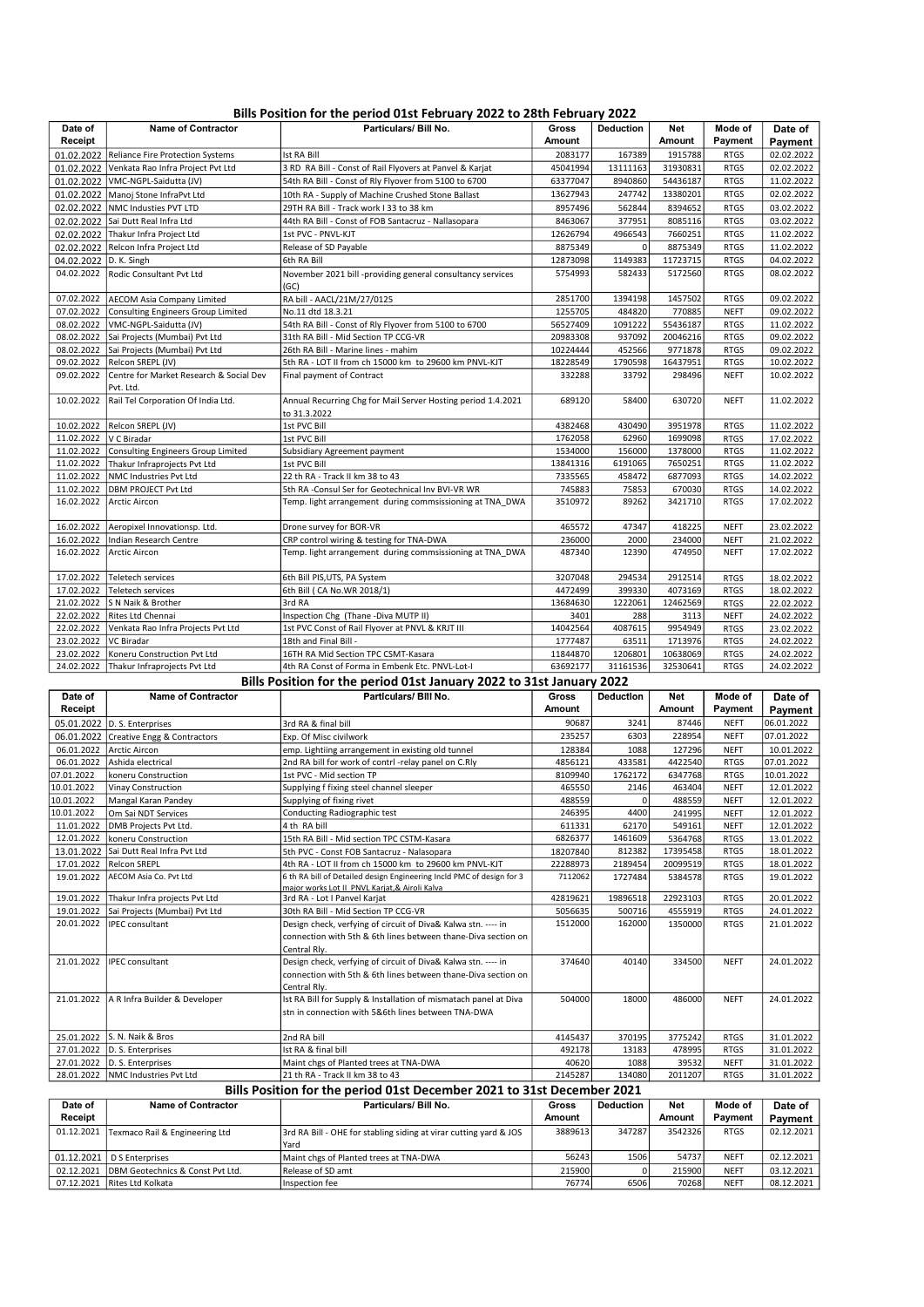## Bills Position for the period 01st February 2022 to 28th February 2022

| Date of                | <b>Name of Contractor</b>                    | Particulars/ Bill No.                                                        | Gross         | <b>Deduction</b> | Net      | Mode of     | Date of    |
|------------------------|----------------------------------------------|------------------------------------------------------------------------------|---------------|------------------|----------|-------------|------------|
| Receipt                |                                              |                                                                              | <b>Amount</b> |                  | Amount   | Payment     | Payment    |
| 01.02.2022             | Reliance Fire Protection Systems             | <b>Ist RA Bill</b>                                                           | 2083177       | 167389           | 1915788  | <b>RTGS</b> | 02.02.2022 |
|                        | 01.02.2022 Venkata Rao Infra Project Pvt Ltd | 3 RD RA Bill - Const of Rail Flyovers at Panvel & Karjat                     | 45041994      | 13111163         | 31930831 | <b>RTGS</b> | 02.02.2022 |
|                        | 01.02.2022   VMC-NGPL-Saidutta (JV)          | 54th RA Bill - Const of Rly Flyover from 5100 to 6700                        | 63377047      | 8940860          | 54436187 | <b>RTGS</b> | 11.02.2022 |
|                        | 01.02.2022 Manoj Stone InfraPvt Ltd          | 10th RA - Supply of Machine Crushed Stone Ballast                            | 13627943      | 247742           | 13380201 | <b>RTGS</b> | 02.02.2022 |
|                        | 02.02.2022  NMC Industies PVT LTD            | 29TH RA Bill - Track work I 33 to 38 km                                      | 8957496       | 562844           | 8394652  | <b>RTGS</b> | 03.02.2022 |
|                        | 02.02.2022 Sai Dutt Real Infra Ltd           | 44th RA Bill - Const of FOB Santacruz - Nallasopara                          | 8463067       | 377951           | 8085116  | <b>RTGS</b> | 03.02.2022 |
|                        | 02.02.2022 Thakur Infra Project Ltd          | 1st PVC - PNVL-KJT                                                           | 12626794      | 4966543          | 7660251  | <b>RTGS</b> | 11.02.2022 |
|                        | 02.02.2022 Relcon Infra Project Ltd          | Release of SD Payable                                                        | 8875349       | $\Omega$         | 8875349  | <b>RTGS</b> | 11.02.2022 |
| 04.02.2022 D. K. Singh |                                              | 6th RA Bill                                                                  | 12873098      | 1149383          | 11723715 | <b>RTGS</b> | 04.02.2022 |
|                        | 04.02.2022 Rodic Consultant Pvt Ltd          | November 2021 bill -providing general consultancy services                   | 5754993       | 582433           | 5172560  | <b>RTGS</b> | 08.02.2022 |
|                        |                                              | (GC)                                                                         |               |                  |          |             |            |
| 07.02.2022             | AECOM Asia Company Limited                   | RA bill - AACL/21M/27/0125                                                   | 2851700       | 1394198          | 1457502  | <b>RTGS</b> | 09.02.2022 |
| 07.02.2022             | Consulting Engineers Group Limited           | No.11 dtd 18.3.21                                                            | 1255705       | 484820           | 770885   | <b>NEFT</b> | 09.02.2022 |
| 08.02.2022             | VMC-NGPL-Saidutta (JV)                       | 54th RA Bill - Const of Rly Flyover from 5100 to 6700                        | 56527409      | 1091222          | 55436187 | <b>RTGS</b> | 11.02.2022 |
|                        | 08.02.2022 Sai Projects (Mumbai) Pvt Ltd     | 31th RA Bill - Mid Section TP CCG-VR                                         | 20983308      | 937092           | 20046216 | <b>RTGS</b> | 09.02.2022 |
| 08.02.2022             | Sai Projects (Mumbai) Pvt Ltd                | 26th RA Bill - Marine lines - mahim                                          | 10224444      | 452566           | 9771878  | <b>RTGS</b> | 09.02.2022 |
| 09.02.2022             | Relcon SREPL (JV)                            | 5th RA - LOT II from ch 15000 km to 29600 km PNVL-KJT                        | 18228549      | 1790598          | 16437951 | <b>RTGS</b> | 10.02.2022 |
| 09.02.2022             | Centre for Market Research & Social Dev      | Final payment of Contract                                                    | 332288        | 33792            | 298496   | <b>NEFT</b> | 10.02.2022 |
|                        | Pvt. Ltd.                                    |                                                                              |               |                  |          |             |            |
| 10.02.2022             | Rail Tel Corporation Of India Ltd.           | Annual Recurring Chg for Mail Server Hosting period 1.4.2021<br>to 31.3.2022 | 689120        | 58400            | 630720   | <b>NEFT</b> | 11.02.2022 |
| 10.02.2022             | Relcon SREPL (JV)                            | 1st PVC Bill                                                                 | 4382468       | 430490           | 3951978  | <b>RTGS</b> | 11.02.2022 |
| 11.02.2022             | V C Biradar                                  | 1st PVC Bill                                                                 | 1762058       | 62960            | 1699098  | <b>RTGS</b> | 17.02.2022 |
| 11.02.2022             | Consulting Engineers Group Limited           | Subsidiary Agreement payment                                                 | 1534000       | 156000           | 1378000  | <b>RTGS</b> | 11.02.2022 |
| 11.02.2022             | Thakur Infraprojects Pvt Ltd                 | 1st PVC Bill                                                                 | 13841316      | 6191065          | 7650251  | <b>RTGS</b> | 11.02.2022 |
| 11.02.2022             | NMC Industries Pvt Ltd                       | 22 th RA - Track II km 38 to 43                                              | 7335565       | 458472           | 6877093  | <b>RTGS</b> | 14.02.2022 |
| 11.02.2022             | <b>DBM PROJECT Pvt Ltd</b>                   | 5th RA -Consul Ser for Geotechnical Inv BVI-VR WR                            | 745883        | 75853            | 670030   | <b>RTGS</b> | 14.02.2022 |
| 16.02.2022             | Arctic Aircon                                | Temp. light arrangement during commsissioning at TNA_DWA                     | 3510972       | 89262            | 3421710  | <b>RTGS</b> | 17.02.2022 |
| 16.02.2022             | Aeropixel Innovationsp. Ltd.                 | Drone survey for BOR-VR                                                      | 465572        | 47347            | 418225   | <b>NEFT</b> | 23.02.2022 |
| 16.02.2022             | Indian Research Centre                       | CRP control wiring & testing for TNA-DWA                                     | 236000        | 2000             | 234000   | <b>NEFT</b> | 21.02.2022 |
| 16.02.2022             | Arctic Aircon                                | Temp. light arrangement during commsissioning at TNA DWA                     | 487340        | 12390            | 474950   | <b>NEFT</b> | 17.02.2022 |
| 17.02.2022             | Teletech services                            | 6th Bill PIS, UTS, PA System                                                 | 3207048       | 294534           | 2912514  | <b>RTGS</b> | 18.02.2022 |
| 17.02.2022             | <b>Teletech services</b>                     | 6th Bill ( CA No.WR 2018/1)                                                  | 4472499       | 399330           | 4073169  | <b>RTGS</b> | 18.02.2022 |
| 21.02.2022             | S N Naik & Brother                           | 3rd RA                                                                       | 13684630      | 1222061          | 12462569 | <b>RTGS</b> | 22.02.2022 |
| 22.02.2022             | Rites Ltd Chennai                            | Inspection Chg (Thane -Diva MUTP II)                                         | 3401          | 288              | 3113     | <b>NEFT</b> | 24.02.2022 |
| 22.02.2022             | Venkata Rao Infra Projects Pvt Ltd           | 1st PVC Const of Rail Flyover at PNVL & KRJT III                             | 14042564      | 4087615          | 9954949  | <b>RTGS</b> | 23.02.2022 |
| 23.02.2022             | VC Biradar                                   | 18th and Final Bill -                                                        | 1777487       | 63511            | 1713976  | <b>RTGS</b> | 24.02.2022 |
| 23.02.2022             | Koneru Construction Pvt Ltd                  | 16TH RA Mid Section TPC CSMT-Kasara                                          | 11844870      | 1206801          | 10638069 | <b>RTGS</b> | 24.02.2022 |
| 24.02.2022             | Thakur Infraprojects Pvt Ltd                 | 4th RA Const of Forma in Embenk Etc. PNVL-Lot-I                              | 63692177      | 31161536         | 32530641 | <b>RTGS</b> | 24.02.2022 |
|                        |                                              | Bills Position for the period 01st January 2022 to 31st January 2022         |               |                  |          |             |            |
| Date of                | <b>Name of Contractor</b>                    | Particulars/ Bill No.                                                        | <b>Gross</b>  | <b>Deduction</b> | Net      | Mode of     | Date of    |
| Receipt                |                                              |                                                                              | <b>Amount</b> |                  | Amount   | Payment     | Payment    |
|                        | 05.01.2022 D. S. Enterprises                 | 3rd RA & final bill                                                          | 90687         | 3241             | 87446    | <b>NEFT</b> | 06.01.2022 |

|            | 05.01.2022 D. S. Enterprises           | 3rd RA & final bill                                                                                                    | 90687    | 3241     | 87446    | <b>NEFT</b> | 06.01.2022 |
|------------|----------------------------------------|------------------------------------------------------------------------------------------------------------------------|----------|----------|----------|-------------|------------|
|            | 06.01.2022 Creative Engg & Contractors | Exp. Of Misc civilwork                                                                                                 | 235257   | 6303     | 228954   | <b>NEFT</b> | 07.01.2022 |
| 06.01.2022 | Arctic Aircon                          | emp. Lightiing arrangement in existing old tunnel                                                                      | 128384   | 1088     | 127296   | <b>NEFT</b> | 10.01.2022 |
| 06.01.2022 | Ashida electrical                      | 2nd RA bill for work of contrl -relay panel on C.Rly                                                                   | 4856121  | 433581   | 4422540  | <b>RTGS</b> | 07.01.2022 |
| 07.01.2022 | koneru Construction                    | 1st PVC - Mid section TP                                                                                               | 8109940  | 1762172  | 6347768  | <b>RTGS</b> | 10.01.2022 |
| 10.01.2022 | Vinay Construction                     | Supplying f fixing steel channel sleeper                                                                               | 465550   | 2146     | 463404   | <b>NEFT</b> | 12.01.2022 |
| 10.01.2022 | Mangal Karan Pandey                    | Supplying of fixing rivet                                                                                              | 488559   | $\Omega$ | 488559   | <b>NEFT</b> | 12.01.2022 |
| 10.01.2022 | Om Sai NDT Services                    | Conducting Radiographic test                                                                                           | 246395   | 4400     | 241995   | <b>NEFT</b> | 12.01.2022 |
| 11.01.2022 | DMB Projects Pvt Ltd.                  | 4 th RA bill                                                                                                           | 611331   | 62170    | 549161   | <b>NEFT</b> | 12.01.2022 |
| 12.01.2022 | koneru Construction                    | 15th RA Bill - Mid section TPC CSTM-Kasara                                                                             | 6826377  | 1461609  | 5364768  | <b>RTGS</b> | 13.01.2022 |
| 13.01.2022 | Sai Dutt Real Infra Pvt Ltd            | 5th PVC - Const FOB Santacruz - Nalasopara                                                                             | 18207840 | 812382   | 17395458 | <b>RTGS</b> | 18.01.2022 |
|            | 17.01.2022 Relcon SREPL                | 4th RA - LOT II from ch 15000 km to 29600 km PNVL-KJT                                                                  | 22288973 | 2189454  | 20099519 | <b>RTGS</b> | 18.01.2022 |
| 19.01.2022 | AECOM Asia Co. Pvt Ltd                 | 6 th RA bill of Detailed design Engineering Incld PMC of design for 3<br>major works Lot II PNVL Kariat.& Airoli Kalva | 7112062  | 1727484  | 5384578  | <b>RTGS</b> | 19.01.2022 |
| 19.01.2022 | Thakur Infra projects Pvt Ltd          | 3rd RA - Lot I Panvel Karjat                                                                                           | 42819621 | 19896518 | 22923103 | <b>RTGS</b> | 20.01.2022 |
| 19.01.2022 | Sai Projects (Mumbai) Pvt Ltd          | 30th RA Bill - Mid Section TP CCG-VR                                                                                   | 5056635  | 500716   | 4555919  | <b>RTGS</b> | 24.01.2022 |
| 20.01.2022 | IPEC consultant                        | Design check, verfying of circuit of Diva& Kalwa stn. ---- in                                                          | 1512000  | 162000   | 1350000  | <b>RTGS</b> | 21.01.2022 |
|            |                                        | connection with 5th & 6th lines between thane-Diva section on                                                          |          |          |          |             |            |
|            |                                        | Central Rly.                                                                                                           |          |          |          |             |            |
| 21.01.2022 | IPEC consultant                        | Design check, verfying of circuit of Diva& Kalwa stn. ---- in                                                          | 374640   | 40140    | 334500   | <b>NEFT</b> | 24.01.2022 |
|            |                                        | connection with 5th & 6th lines between thane-Diva section on                                                          |          |          |          |             |            |
|            |                                        | Central Rly.                                                                                                           |          |          |          |             |            |
| 21.01.2022 | A R Infra Builder & Developer          | Ist RA Bill for Supply & Installation of mismatach panel at Diva                                                       | 504000   | 18000    | 486000   | <b>NEFT</b> | 24.01.2022 |
|            |                                        | stn in connection with 5&6th lines between TNA-DWA                                                                     |          |          |          |             |            |
|            |                                        |                                                                                                                        |          |          |          |             |            |
| 25.01.2022 | S. N. Naik & Bros                      | 2nd RA bill                                                                                                            | 4145437  | 370195   | 3775242  | <b>RTGS</b> | 31.01.2022 |
|            | 27.01.2022 D. S. Enterprises           | Ist RA & final bill                                                                                                    | 492178   | 13183    | 478995   | <b>RTGS</b> | 31.01.2022 |
|            | 27.01.2022 D. S. Enterprises           | Maint chgs of Planted trees at TNA-DWA                                                                                 | 40620    | 1088     | 39532    | <b>NEFT</b> | 31.01.2022 |
|            | 28.01.2022   NMC Industries Pvt Ltd    | 21 th RA - Track II km 38 to 43                                                                                        | 2145287  | 134080   | 2011207  | <b>RTGS</b> | 31.01.2022 |
|            |                                        | Bills Position for the period 01st December 2021 to 31st December 2021                                                 |          |          |          |             |            |

#### Date of Receipt Name of Contractor **Particulars/ Bill No.** Gross Amount Deduction Net Amount Mode of Payment Date of Payment 01.12.2021 Texmaco Rail & Engineering Ltd 3rd RA Bill - OHE for stabling siding at virar cutting yard & JOS Yard 3889613 347287 3542326 RTGS 02.12.2021 01.12.2021 D S Enterprises Maint chgs of Planted trees at TNA-DWA 56243 1506 54737 NEFT 02.12.2021 02.12.2021 DBM Geotechnics & Const Pvt Ltd. Release of SD amt 215900 0 215900 NEFT 03.12.2021 07.12.2021 Rites Ltd Kolkata Inspection fee 76774 6506 70268 NEFT 08.12.2021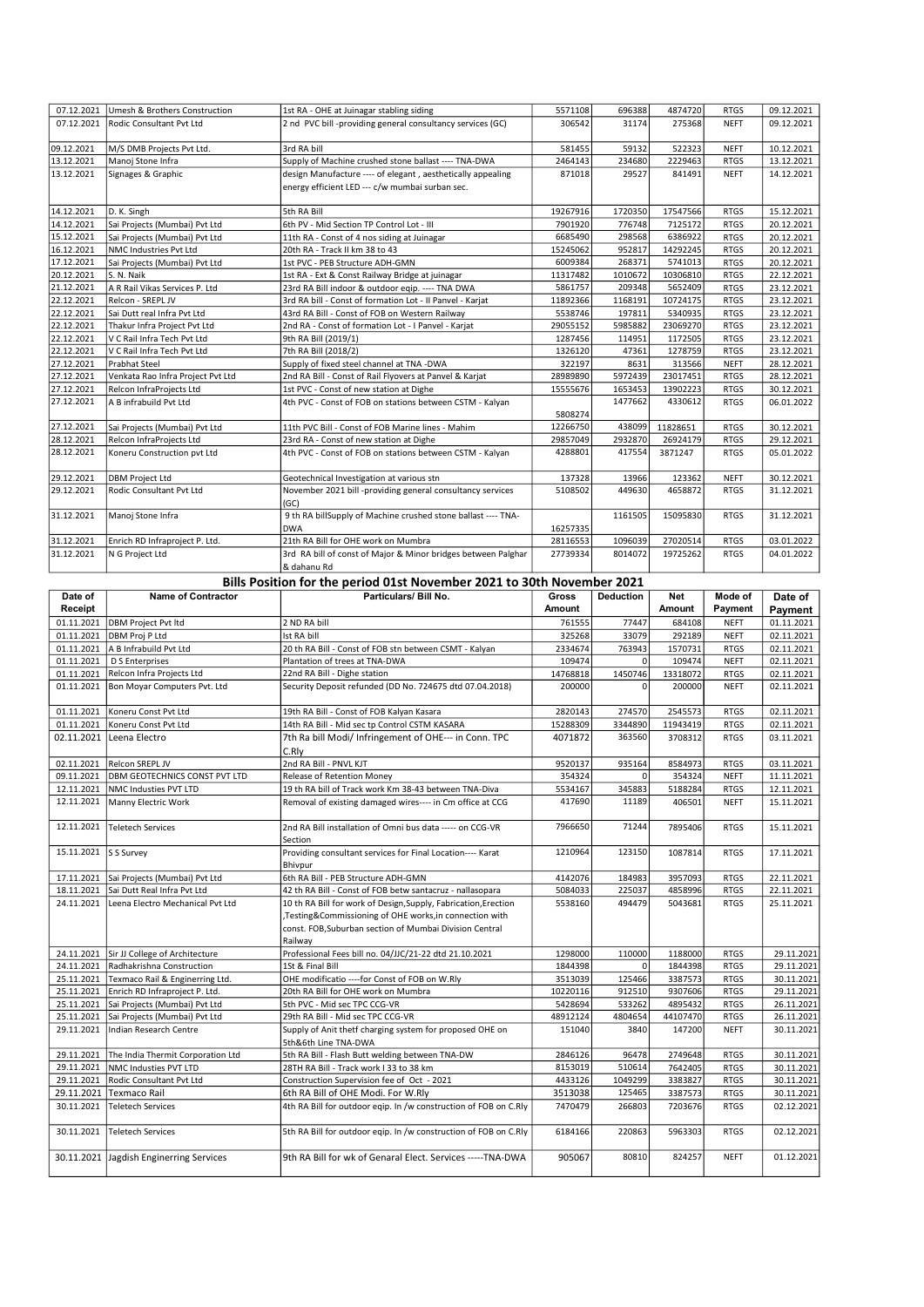|            | 07.12.2021 Umesh & Brothers Construction | 1st RA - OHE at Juinagar stabling siding                                                                       | 5571108  | 696388  | 4874720  | <b>RTGS</b> | 09.12.2021 |
|------------|------------------------------------------|----------------------------------------------------------------------------------------------------------------|----------|---------|----------|-------------|------------|
| 07.12.2021 | Rodic Consultant Pvt Ltd                 | 2 nd PVC bill -providing general consultancy services (GC)                                                     | 306542   | 31174   | 275368   | <b>NEFT</b> | 09.12.2021 |
| 09.12.2021 | M/S DMB Projects Pvt Ltd.                | 3rd RA bill                                                                                                    | 581455   | 59132   | 522323   | <b>NEFT</b> | 10.12.2021 |
| 13.12.2021 | Manoj Stone Infra                        | Supply of Machine crushed stone ballast ---- TNA-DWA                                                           | 2464143  | 234680  | 2229463  | <b>RTGS</b> | 13.12.2021 |
| 13.12.2021 | Signages & Graphic                       | design Manufacture ---- of elegant, aesthetically appealing<br>energy efficient LED --- c/w mumbai surban sec. | 871018   | 29527   | 841491   | <b>NEFT</b> | 14.12.2021 |
| 14.12.2021 | D. K. Singh                              | 5th RA Bill                                                                                                    | 19267916 | 1720350 | 17547566 | <b>RTGS</b> | 15.12.2021 |
| 14.12.2021 | Sai Projects (Mumbai) Pvt Ltd            | 6th PV - Mid Section TP Control Lot - III                                                                      | 7901920  | 776748  | 7125172  | <b>RTGS</b> | 20.12.2021 |
| 15.12.2021 | Sai Projects (Mumbai) Pvt Ltd            | 11th RA - Const of 4 nos siding at Juinagar                                                                    | 6685490  | 298568  | 6386922  | <b>RTGS</b> | 20.12.2021 |
| 16.12.2021 | NMC Industries Pvt Ltd                   | 20th RA - Track II km 38 to 43                                                                                 | 15245062 | 952817  | 14292245 | <b>RTGS</b> | 20.12.2021 |
| 17.12.2021 | Sai Projects (Mumbai) Pvt Ltd            | 1st PVC - PEB Structure ADH-GMN                                                                                | 6009384  | 268371  | 5741013  | <b>RTGS</b> | 20.12.2021 |
| 20.12.2021 | S. N. Naik                               | 1st RA - Ext & Const Railway Bridge at juinagar                                                                | 11317482 | 1010672 | 10306810 | <b>RTGS</b> | 22.12.2021 |
| 21.12.2021 | A R Rail Vikas Services P. Ltd           | 23rd RA Bill indoor & outdoor eqip. ---- TNA DWA                                                               | 5861757  | 209348  | 5652409  | <b>RTGS</b> | 23.12.2021 |
| 22.12.2021 | Relcon - SREPL JV                        | 3rd RA bill - Const of formation Lot - II Panvel - Karjat                                                      | 11892366 | 1168191 | 10724175 | <b>RTGS</b> | 23.12.2021 |
| 22.12.2021 | Sai Dutt real Infra Pvt Ltd              | 43rd RA Bill - Const of FOB on Western Railway                                                                 | 5538746  | 197811  | 5340935  | <b>RTGS</b> | 23.12.2021 |
| 22.12.2021 | Thakur Infra Project Pvt Ltd             | 2nd RA - Const of formation Lot - I Panvel - Karjat                                                            | 29055152 | 5985882 | 23069270 | <b>RTGS</b> | 23.12.2021 |
| 22.12.2021 | V C Rail Infra Tech Pvt Ltd              | 9th RA Bill (2019/1)                                                                                           | 1287456  | 114951  | 1172505  | <b>RTGS</b> | 23.12.2021 |
| 22.12.2021 | V C Rail Infra Tech Pvt Ltd              | 7th RA Bill (2018/2)                                                                                           | 1326120  | 47361   | 1278759  | <b>RTGS</b> | 23.12.2021 |
| 27.12.2021 | <b>Prabhat Steel</b>                     | Supply of fixed steel channel at TNA -DWA                                                                      | 322197   | 8631    | 313566   | <b>NEFT</b> | 28.12.2021 |
| 27.12.2021 | Venkata Rao Infra Project Pvt Ltd        | 2nd RA Bill - Const of Rail Flyovers at Panvel & Karjat                                                        | 28989890 | 5972439 | 23017451 | <b>RTGS</b> | 28.12.2021 |
| 27.12.2021 | Relcon InfraProjects Ltd                 | 1st PVC - Const of new station at Dighe                                                                        | 15555676 | 1653453 | 13902223 | <b>RTGS</b> | 30.12.2021 |
| 27.12.2021 | A B infrabuild Pvt Ltd                   | 4th PVC - Const of FOB on stations between CSTM - Kalyan                                                       | 5808274  | 1477662 | 4330612  | <b>RTGS</b> | 06.01.2022 |
| 27.12.2021 | Sai Projects (Mumbai) Pvt Ltd            | 11th PVC Bill - Const of FOB Marine lines - Mahim                                                              | 12266750 | 438099  | 11828651 | <b>RTGS</b> | 30.12.2021 |
| 28.12.2021 | Relcon InfraProjects Ltd                 | 23rd RA - Const of new station at Dighe                                                                        | 29857049 | 2932870 | 26924179 | <b>RTGS</b> | 29.12.2021 |
| 28.12.2021 | Koneru Construction pvt Ltd              | 4th PVC - Const of FOB on stations between CSTM - Kalyan                                                       | 4288801  | 417554  | 3871247  | <b>RTGS</b> | 05.01.2022 |
| 29.12.2021 | <b>DBM Project Ltd</b>                   | Geotechnical Investigation at various stn                                                                      | 137328   | 13966   | 123362   | <b>NEFT</b> | 30.12.2021 |
| 29.12.2021 | Rodic Consultant Pvt Ltd                 | November 2021 bill -providing general consultancy services<br>(GC)                                             | 5108502  | 449630  | 4658872  | <b>RTGS</b> | 31.12.2021 |
| 31.12.2021 | Manoj Stone Infra                        | 9 th RA billSupply of Machine crushed stone ballast ---- TNA-<br><b>DWA</b>                                    | 16257335 | 1161505 | 15095830 | <b>RTGS</b> | 31.12.2021 |
| 31.12.2021 | Enrich RD Infraproject P. Ltd.           | 21th RA Bill for OHE work on Mumbra                                                                            | 28116553 | 1096039 | 27020514 | <b>RTGS</b> | 03.01.2022 |
| 31.12.2021 | N G Project Ltd                          | 3rd RA bill of const of Major & Minor bridges between Palghar<br>& dahanu Rd                                   | 27739334 | 8014072 | 19725262 | <b>RTGS</b> | 04.01.2022 |

#### Bills Position for the period 01st November 2021 to 30th November 2021

| Date of             | <b>Name of Contractor</b>            | Particulars/ Bill No.                                                                                                        | Gross         | Deduction   | Net      | Mode of     | Date of    |
|---------------------|--------------------------------------|------------------------------------------------------------------------------------------------------------------------------|---------------|-------------|----------|-------------|------------|
| Receipt             |                                      |                                                                                                                              | <b>Amount</b> |             | Amount   | Payment     | Payment    |
| 01.11.2021          | DBM Project Pvt Itd                  | 2 ND RA bill                                                                                                                 | 761555        | 77447       | 684108   | <b>NEFT</b> | 01.11.2021 |
| 01.11.2021          | DBM Proj P Ltd                       | Ist RA bill                                                                                                                  | 325268        | 33079       | 292189   | <b>NEFT</b> | 02.11.2021 |
| 01.11.2021          | A B Infrabuild Pvt Ltd               | 20 th RA Bill - Const of FOB stn between CSMT - Kalyan                                                                       | 2334674       | 763943      | 1570731  | <b>RTGS</b> | 02.11.2021 |
| 01.11.2021          | D S Enterprises                      | Plantation of trees at TNA-DWA                                                                                               | 109474        | $\Omega$    | 109474   | <b>NEFT</b> | 02.11.2021 |
| 01.11.2021          | Relcon Infra Projects Ltd            | 22nd RA Bill - Dighe station                                                                                                 | 14768818      | 1450746     | 13318072 | <b>RTGS</b> | 02.11.2021 |
| 01.11.2021          | Bon Moyar Computers Pvt. Ltd         | Security Deposit refunded (DD No. 724675 dtd 07.04.2018)                                                                     | 200000        | $\Omega$    | 200000   | <b>NEFT</b> | 02.11.2021 |
| 01.11.2021          | Koneru Const Pvt Ltd                 | 19th RA Bill - Const of FOB Kalyan Kasara                                                                                    | 2820143       | 274570      | 2545573  | <b>RTGS</b> | 02.11.2021 |
| 01.11.2021          | Koneru Const Pvt Ltd                 | 14th RA Bill - Mid sec tp Control CSTM KASARA                                                                                | 15288309      | 3344890     | 11943419 | <b>RTGS</b> | 02.11.2021 |
| 02.11.2021          | Leena Electro                        | 7th Ra bill Modi/ Infringement of OHE--- in Conn. TPC<br>C.Rly                                                               | 4071872       | 363560      | 3708312  | <b>RTGS</b> | 03.11.2021 |
| 02.11.2021          | Relcon SREPL JV                      | 2nd RA Bill - PNVL KJT                                                                                                       | 9520137       | 935164      | 8584973  | <b>RTGS</b> | 03.11.2021 |
| 09.11.2021          | <b>DBM GEOTECHNICS CONST PVT LTD</b> | <b>Release of Retention Money</b>                                                                                            | 354324        | $\Omega$    | 354324   | <b>NEFT</b> | 11.11.2021 |
| 12.11.2021          | NMC Industies PVT LTD                | 19 th RA bill of Track work Km 38-43 between TNA-Diva                                                                        | 5534167       | 345883      | 5188284  | <b>RTGS</b> | 12.11.2021 |
| 12.11.2021          | Manny Electric Work                  | Removal of existing damaged wires---- in Cm office at CCG                                                                    | 417690        | 11189       | 406501   | <b>NEFT</b> | 15.11.2021 |
| 12.11.2021          | <b>Teletech Services</b>             | 2nd RA Bill installation of Omni bus data ----- on CCG-VR<br>Section                                                         | 7966650       | 71244       | 7895406  | <b>RTGS</b> | 15.11.2021 |
| 15.11.2021 S Survey |                                      | Providing consultant services for Final Location---- Karat<br>Bhivpur                                                        | 1210964       | 123150      | 1087814  | <b>RTGS</b> | 17.11.2021 |
| 17.11.2021          | Sai Projects (Mumbai) Pvt Ltd        | 6th RA Bill - PEB Structure ADH-GMN                                                                                          | 4142076       | 184983      | 3957093  | <b>RTGS</b> | 22.11.2021 |
| 18.11.2021          | Sai Dutt Real Infra Pvt Ltd          | 42 th RA Bill - Const of FOB betw santacruz - nallasopara                                                                    | 5084033       | 225037      | 4858996  | <b>RTGS</b> | 22.11.2021 |
| 24.11.2021          | Leena Electro Mechanical Pvt Ltd     | 10 th RA Bill for work of Design, Supply, Fabrication, Erection                                                              | 5538160       | 494479      | 5043681  | <b>RTGS</b> | 25.11.2021 |
|                     |                                      | ,Testing&Commissioning of OHE works,in connection with<br>const. FOB, Suburban section of Mumbai Division Central<br>Railway |               |             |          |             |            |
| 24.11.2021          | Sir JJ College of Architecture       | Professional Fees bill no. 04/JJC/21-22 dtd 21.10.2021                                                                       | 1298000       | 110000      | 1188000  | <b>RTGS</b> | 29.11.2021 |
| 24.11.2021          | Radhakrishna Construction            | 1St & Final Bill                                                                                                             | 1844398       | $\mathbf 0$ | 1844398  | <b>RTGS</b> | 29.11.2021 |
| 25.11.2021          | Texmaco Rail & Enginerring Ltd.      | OHE modificatio ---- for Const of FOB on W.Rly                                                                               | 3513039       | 125466      | 3387573  | <b>RTGS</b> | 30.11.2021 |
| 25.11.2021          | Enrich RD Infraproject P. Ltd.       | 20th RA Bill for OHE work on Mumbra                                                                                          | 10220116      | 912510      | 9307606  | <b>RTGS</b> | 29.11.2021 |
| 25.11.2021          | Sai Projects (Mumbai) Pvt Ltd        | 5th PVC - Mid sec TPC CCG-VR                                                                                                 | 5428694       | 533262      | 4895432  | <b>RTGS</b> | 26.11.2021 |
| 25.11.2021          | Sai Projects (Mumbai) Pvt Ltd        | 29th RA Bill - Mid sec TPC CCG-VR                                                                                            | 48912124      | 4804654     | 44107470 | <b>RTGS</b> | 26.11.2021 |
| 29.11.2021          | Indian Research Centre               | Supply of Anit thetf charging system for proposed OHE on<br>5th&6th Line TNA-DWA                                             | 151040        | 3840        | 147200   | <b>NEFT</b> | 30.11.2021 |
| 29.11.2021          | The India Thermit Corporation Ltd    | 5th RA Bill - Flash Butt welding between TNA-DW                                                                              | 2846126       | 96478       | 2749648  | <b>RTGS</b> | 30.11.2021 |
| 29.11.2021          | NMC Industies PVT LTD                | 28TH RA Bill - Track work I 33 to 38 km                                                                                      | 8153019       | 510614      | 7642405  | <b>RTGS</b> | 30.11.2021 |
| 29.11.2021          | Rodic Consultant Pvt Ltd             | Construction Supervision fee of Oct - 2021                                                                                   | 4433126       | 1049299     | 3383827  | <b>RTGS</b> | 30.11.2021 |
| 29.11.2021          | <b>Texmaco Rail</b>                  | 6th RA Bill of OHE Modi. For W.Rly                                                                                           | 3513038       | 125465      | 3387573  | <b>RTGS</b> | 30.11.2021 |
| 30.11.2021          | Teletech Services                    | 4th RA Bill for outdoor egip. In /w construction of FOB on C.Rly                                                             | 7470479       | 266803      | 7203676  | <b>RTGS</b> | 02.12.2021 |
| 30.11.2021          | Teletech Services                    | 5th RA Bill for outdoor eqip. In /w construction of FOB on C.Rly                                                             | 6184166       | 220863      | 5963303  | <b>RTGS</b> | 02.12.2021 |
| 30.11.2021          | Jagdish Enginerring Services         | 9th RA Bill for wk of Genaral Elect. Services -----TNA-DWA                                                                   | 905067        | 80810       | 824257   | <b>NEFT</b> | 01.12.2021 |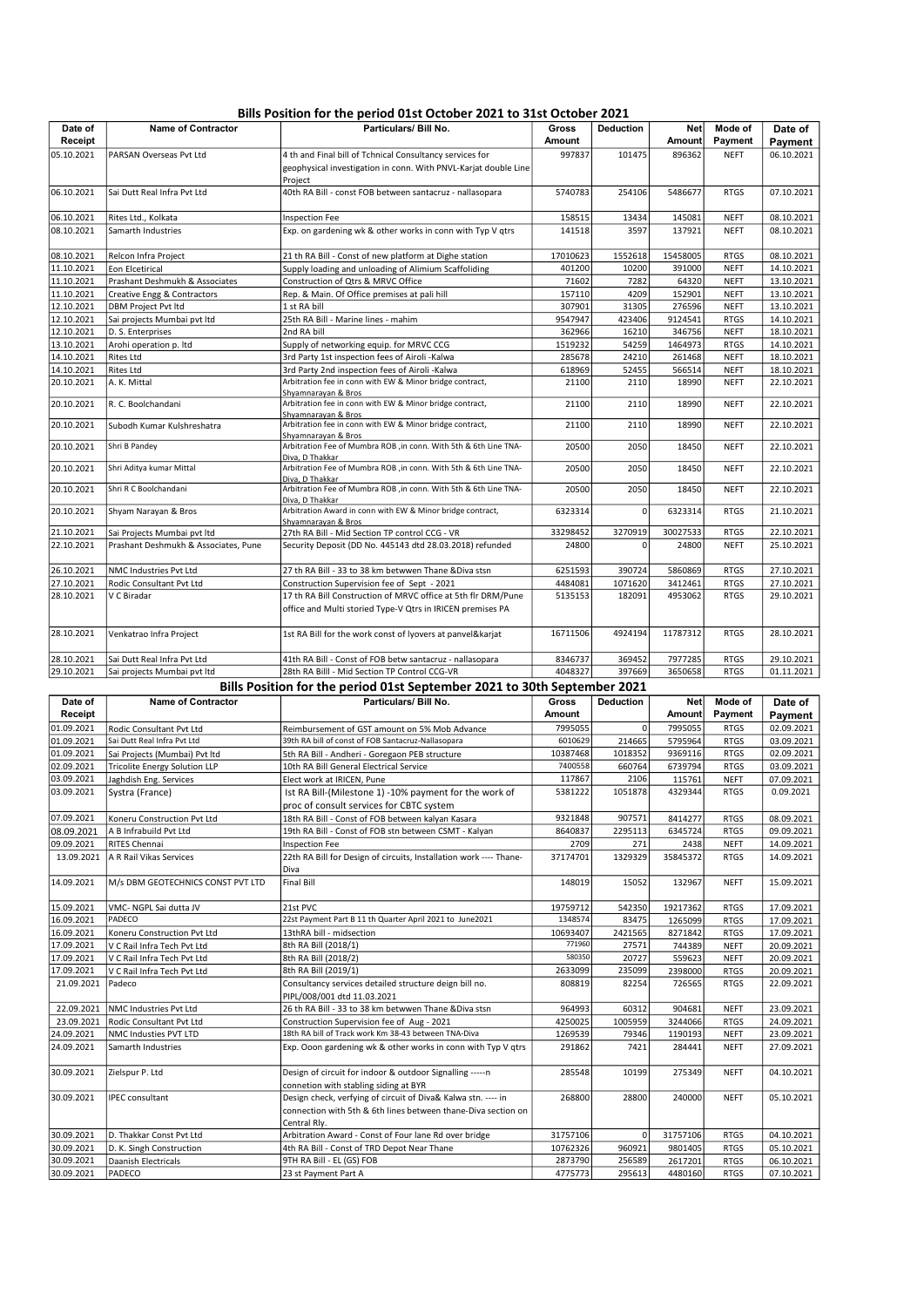### Bills Position for the period 01st October 2021 to 31st October 2021

| Date of<br>Receipt       | <b>Name of Contractor</b>                        | <br>Particulars/ Bill No.                                                                                                      | Gross<br>Amount   | Deduction       | <b>Net</b><br><b>Amount</b> | Mode of<br>Payment         | Date of<br>Payment       |
|--------------------------|--------------------------------------------------|--------------------------------------------------------------------------------------------------------------------------------|-------------------|-----------------|-----------------------------|----------------------------|--------------------------|
| 05.10.2021               | PARSAN Overseas Pvt Ltd                          | 4 th and Final bill of Tchnical Consultancy services for                                                                       | 997837            | 101475          | 896362                      | <b>NEFT</b>                | 06.10.2021               |
|                          |                                                  | geophysical investigation in conn. With PNVL-Karjat double Line<br>Project                                                     |                   |                 |                             |                            |                          |
| 06.10.2021               | Sai Dutt Real Infra Pvt Ltd                      | 40th RA Bill - const FOB between santacruz - nallasopara                                                                       | 5740783           | 254106          | 5486677                     | <b>RTGS</b>                | 07.10.2021               |
| 06.10.2021               | Rites Ltd., Kolkata                              | <b>Inspection Fee</b>                                                                                                          | 158515            | 13434           | 145081                      | <b>NEFT</b>                | 08.10.2021               |
| 08.10.2021               | Samarth Industries                               | Exp. on gardening wk & other works in conn with Typ V qtrs                                                                     | 141518            | 3597            | 137921                      | <b>NEFT</b>                | 08.10.2021               |
| 08.10.2021               | Relcon Infra Project                             | 21 th RA Bill - Const of new platform at Dighe station                                                                         | 17010623          | 1552618         | 15458005                    | <b>RTGS</b>                | 08.10.2021               |
| 11.10.2021               | Eon Elcetirical                                  | Supply loading and unloading of Alimium Scaffoliding                                                                           | 401200            | 10200           | 391000                      | <b>NEFT</b>                | 14.10.2021               |
| 11.10.2021               | Prashant Deshmukh & Associates                   | Construction of Qtrs & MRVC Office                                                                                             | 71602             | 7282            | 64320                       | <b>NEFT</b>                | 13.10.2021               |
| 11.10.2021               | Creative Engg & Contractors                      | Rep. & Main. Of Office premises at pali hill                                                                                   | 157110            | 4209            | 152901                      | <b>NEFT</b>                | 13.10.2021               |
| 12.10.2021               | <b>DBM Project Pvt ltd</b>                       | 1 st RA bill                                                                                                                   | 307901            | 31305<br>423406 | 276596                      | <b>NEFT</b>                | 13.10.2021               |
| 12.10.2021<br>12.10.2021 | Sai projects Mumbai pvt ltd<br>D. S. Enterprises | 25th RA Bill - Marine lines - mahim<br>2nd RA bill                                                                             | 9547947<br>362966 | 16210           | 9124541<br>346756           | <b>RTGS</b><br><b>NEFT</b> | 14.10.2021<br>18.10.2021 |
| 13.10.2021               | Arohi operation p. Itd                           | Supply of networking equip. for MRVC CCG                                                                                       | 1519232           | 54259           | 1464973                     | <b>RTGS</b>                | 14.10.2021               |
| 14.10.2021               | Rites Ltd                                        | 3rd Party 1st inspection fees of Airoli -Kalwa                                                                                 | 285678            | 24210           | 261468                      | <b>NEFT</b>                | 18.10.2021               |
| 14.10.2021               | Rites Ltd                                        | 3rd Party 2nd inspection fees of Airoli -Kalwa                                                                                 | 618969            | 52455           | 566514                      | <b>NEFT</b>                | 18.10.2021               |
| 20.10.2021               | A. K. Mittal                                     | Arbitration fee in conn with EW & Minor bridge contract,                                                                       | 21100             | 2110            | 18990                       | <b>NEFT</b>                | 22.10.2021               |
| 20.10.2021               | R. C. Boolchandani                               | Shyamnarayan & Bros<br>Arbitration fee in conn with EW & Minor bridge contract,                                                | 21100             | 2110            | 18990                       | <b>NEFT</b>                | 22.10.2021               |
| 20.10.2021               | Subodh Kumar Kulshreshatra                       | Shyamnarayan & Bros<br>Arbitration fee in conn with EW & Minor bridge contract,                                                | 21100             | 2110            | 18990                       | <b>NEFT</b>                | 22.10.2021               |
| 20.10.2021               | Shri B Pandey                                    | <u>Shyamnarayan &amp; Bros</u><br>Arbitration Fee of Mumbra ROB , in conn. With 5th & 6th Line TNA-                            | 20500             | 2050            | 18450                       | <b>NEFT</b>                | 22.10.2021               |
| 20.10.2021               | Shri Aditya kumar Mittal                         | Diva, D Thakkar<br>Arbitration Fee of Mumbra ROB ,in conn. With 5th & 6th Line TNA-                                            | 20500             | 2050            | 18450                       | <b>NEFT</b>                | 22.10.2021               |
| 20.10.2021               | Shri R C Boolchandani                            | Diva, D Thakkar<br>Arbitration Fee of Mumbra ROB , in conn. With 5th & 6th Line TNA-                                           | 20500             | 2050            | 18450                       | <b>NEFT</b>                | 22.10.2021               |
| 20.10.2021               | Shyam Narayan & Bros                             | Diva, D Thakkar<br>Arbitration Award in conn with EW & Minor bridge contract,                                                  | 6323314           | $\Omega$        | 6323314                     | <b>RTGS</b>                | 21.10.2021               |
| 21.10.2021               | Sai Projects Mumbai pvt ltd                      | Shyamnarayan & Bros<br>27th RA Bill - Mid Section TP control CCG - VR                                                          | 33298452          | 3270919         | 30027533                    | <b>RTGS</b>                | 22.10.2021               |
| 22.10.2021               | Prashant Deshmukh & Associates, Pune             | Security Deposit (DD No. 445143 dtd 28.03.2018) refunded                                                                       | 24800             | 0               | 24800                       | <b>NEFT</b>                | 25.10.2021               |
|                          |                                                  |                                                                                                                                |                   |                 |                             |                            |                          |
| 26.10.2021               | NMC Industries Pvt Ltd                           | 27 th RA Bill - 33 to 38 km betwwen Thane & Diva stsn                                                                          | 6251593           | 390724          | 5860869                     | <b>RTGS</b>                | 27.10.2021               |
| 27.10.2021               | Rodic Consultant Pvt Ltd                         | Construction Supervision fee of Sept - 2021                                                                                    | 4484081           | 1071620         | 3412461                     | <b>RTGS</b>                | 27.10.2021               |
| 28.10.2021               | V C Biradar                                      | 17 th RA Bill Construction of MRVC office at 5th flr DRM/Pune<br>office and Multi storied Type-V Qtrs in IRICEN premises PA    | 5135153           | 182091          | 4953062                     | <b>RTGS</b>                | 29.10.2021               |
| 28.10.2021               | Venkatrao Infra Project                          | 1st RA Bill for the work const of lyovers at panvel&karjat                                                                     | 16711506          | 4924194         | 11787312                    | <b>RTGS</b>                | 28.10.2021               |
| 28.10.2021               | Sai Dutt Real Infra Pvt Ltd                      | 41th RA Bill - Const of FOB betw santacruz - nallasopara                                                                       | 8346737           | 369452          | 7977285                     | <b>RTGS</b>                | 29.10.2021               |
| 29.10.2021               | Sai projects Mumbai pvt ltd                      | 28th RA Billl - Mid Section TP Control CCG-VR                                                                                  | 4048327           | 397669          | 3650658                     | <b>RTGS</b>                | 01.11.2021               |
|                          |                                                  | Bills Position for the period 01st September 2021 to 30th September 2021                                                       |                   |                 |                             |                            |                          |
| Date of<br>Receipt       | <b>Name of Contractor</b>                        | Particulars/ Bill No.                                                                                                          | Gross<br>Amount   | Deduction       | <b>Net</b><br>Amount        | Mode of<br>Payment         | Date of<br>Payment       |
| 01.09.2021               | Rodic Consultant Pvt Ltd                         | Reimbursement of GST amount on 5% Mob Advance                                                                                  | 7995055           | 0               | 7995055                     | <b>RTGS</b>                | 02.09.2021               |
| 01.09.2021               | Sai Dutt Real Infra Pvt Ltd                      | 39th RA bill of const of FOB Santacruz-Nallasopara                                                                             | 6010629           | 214665          | 5795964                     | <b>RTGS</b>                | 03.09.2021               |
| 01.09.2021               | Sai Projects (Mumbai) Pvt ltd                    | 5th RA Bill - Andheri - Goregaon PEB structure                                                                                 | 10387468          | 1018352         | 9369116                     | <b>RTGS</b>                | 02.09.2021               |
| 02.09.2021               | <b>Tricolite Energy Solution LLP</b>             | 10th RA Bill General Electrical Service                                                                                        | 7400558           | 660764          | 6739794                     | <b>RTGS</b>                | 03.09.2021               |
| 03.09.2021<br>03.09.2021 | Jaghdish Eng. Services<br>Systra (France)        | Elect work at IRICEN, Pune<br>Ist RA Bill-(Milestone 1) -10% payment for the work of                                           | 117867<br>5381222 | 2106<br>1051878 | 115761<br>4329344           | <b>NEFT</b><br><b>RTGS</b> | 07.09.2021<br>0.09.2021  |
|                          |                                                  | proc of consult services for CBTC system                                                                                       |                   |                 |                             |                            |                          |
| 07.09.2021               | Koneru Construction Pvt Ltd                      | 18th RA Bill - Const of FOB between kalyan Kasara                                                                              | 9321848           | 907571          | 8414277                     | <b>RTGS</b>                | 08.09.2021               |
| 08.09.2021               | A B Infrabuild Pvt Ltd                           | 19th RA Bill - Const of FOB stn between CSMT - Kalyan                                                                          | 8640837           | 2295113         | 6345724                     | <b>RTGS</b>                | 09.09.2021               |
| 09.09.2021<br>13.09.2021 | RITES Chennai<br>A R Rail Vikas Services         | <b>Inspection Fee</b><br>22th RA Bill for Design of circuits, Installation work ---- Thane-                                    | 2709<br>37174701  | 271<br>1329329  | 2438<br>35845372            | <b>NEFT</b><br><b>RTGS</b> | 14.09.2021<br>14.09.2021 |
| 14.09.2021               | M/s DBM GEOTECHNICS CONST PVT LTD                | Diva<br><b>Final Bill</b>                                                                                                      | 148019            | 15052           | 132967                      | <b>NEFT</b>                | 15.09.2021               |
| 15.09.2021               | VMC-NGPL Sai dutta JV                            | 21st PVC                                                                                                                       | 19759712          | 542350          | 19217362                    | <b>RTGS</b>                | 17.09.2021               |
| 16.09.2021               | PADECO                                           | 22st Payment Part B 11 th Quarter April 2021 to June2021                                                                       | 1348574           | 83475           | 1265099                     | <b>RTGS</b>                | 17.09.2021               |
| 16.09.2021               | Koneru Construction Pvt Ltd                      | 13thRA bill - midsection                                                                                                       | 10693407          | 2421565         | 8271842                     | <b>RTGS</b>                | 17.09.2021               |
| 17.09.2021               | V C Rail Infra Tech Pvt Ltd                      | 8th RA Bill (2018/1)                                                                                                           | 771960            | 27571           | 744389                      | <b>NEFT</b>                | 20.09.2021               |
| 17.09.2021               | V C Rail Infra Tech Pvt Ltd                      | 8th RA Bill (2018/2)                                                                                                           | 580350            | 20727           | 559623                      | <b>NEFT</b>                | 20.09.2021               |
| 17.09.2021               | V C Rail Infra Tech Pvt Ltd                      | 8th RA Bill (2019/1)                                                                                                           | 2633099           | 235099          | 2398000                     | <b>RTGS</b>                | 20.09.2021               |
| 21.09.2021               | Padeco                                           | Consultancy services detailed structure deign bill no.<br>PIPL/008/001 dtd 11.03.2021                                          | 808819            | 82254           | 726565                      | <b>RTGS</b>                | 22.09.2021               |
| 22.09.2021               | NMC Industries Pvt Ltd                           | 26 th RA Bill - 33 to 38 km betwwen Thane & Diva stsn                                                                          | 964993            | 60312           | 904681                      | <b>NEFT</b>                | 23.09.2021               |
| 23.09.2021               | Rodic Consultant Pvt Ltd                         | Construction Supervision fee of Aug - 2021                                                                                     | 4250025           | 1005959         | 3244066                     | <b>RTGS</b>                | 24.09.2021               |
| 24.09.2021               | NMC Industies PVT LTD                            | 18th RA bill of Track work Km 38-43 between TNA-Diva                                                                           | 1269539           | 79346           | 1190193                     | <b>NEFT</b>                | 23.09.2021               |
| 24.09.2021               | Samarth Industries                               | Exp. Ooon gardening wk & other works in conn with Typ V qtrs                                                                   | 291862            | 7421            | 284441                      | NEFT                       | 27.09.2021               |
| 30.09.2021               | Zielspur P. Ltd                                  | Design of circuit for indoor & outdoor Signalling ----- n<br>connetion with stabling siding at BYR                             | 285548            | 10199           | 275349                      | <b>NEFT</b>                | 04.10.2021               |
| 30.09.2021               | IPEC consultant                                  | Design check, verfying of circuit of Diva& Kalwa stn. ---- in<br>connection with 5th & 6th lines between thane-Diva section on | 268800            | 28800           | 240000                      | <b>NEFT</b>                | 05.10.2021               |
| 30.09.2021               | D. Thakkar Const Pvt Ltd                         | Central Rly.<br>Arbitration Award - Const of Four lane Rd over bridge                                                          | 31757106          | $\Omega$        | 31757106                    | <b>RTGS</b>                | 04.10.2021               |
| 30.09.2021               | D. K. Singh Construction                         | 4th RA Bill - Const of TRD Depot Near Thane                                                                                    | 10762326          | 960921          | 9801405                     | <b>RTGS</b>                | 05.10.2021               |

30.09.2021 Daanish Electricals 9TH RA Bill - EL (GS) FOB 2873790 256589 2617201 RTGS 06.10.2021 30.09.2021 PADECO 23 st Payment Part A 4775773 295613 4480160 RTGS 07.10.2021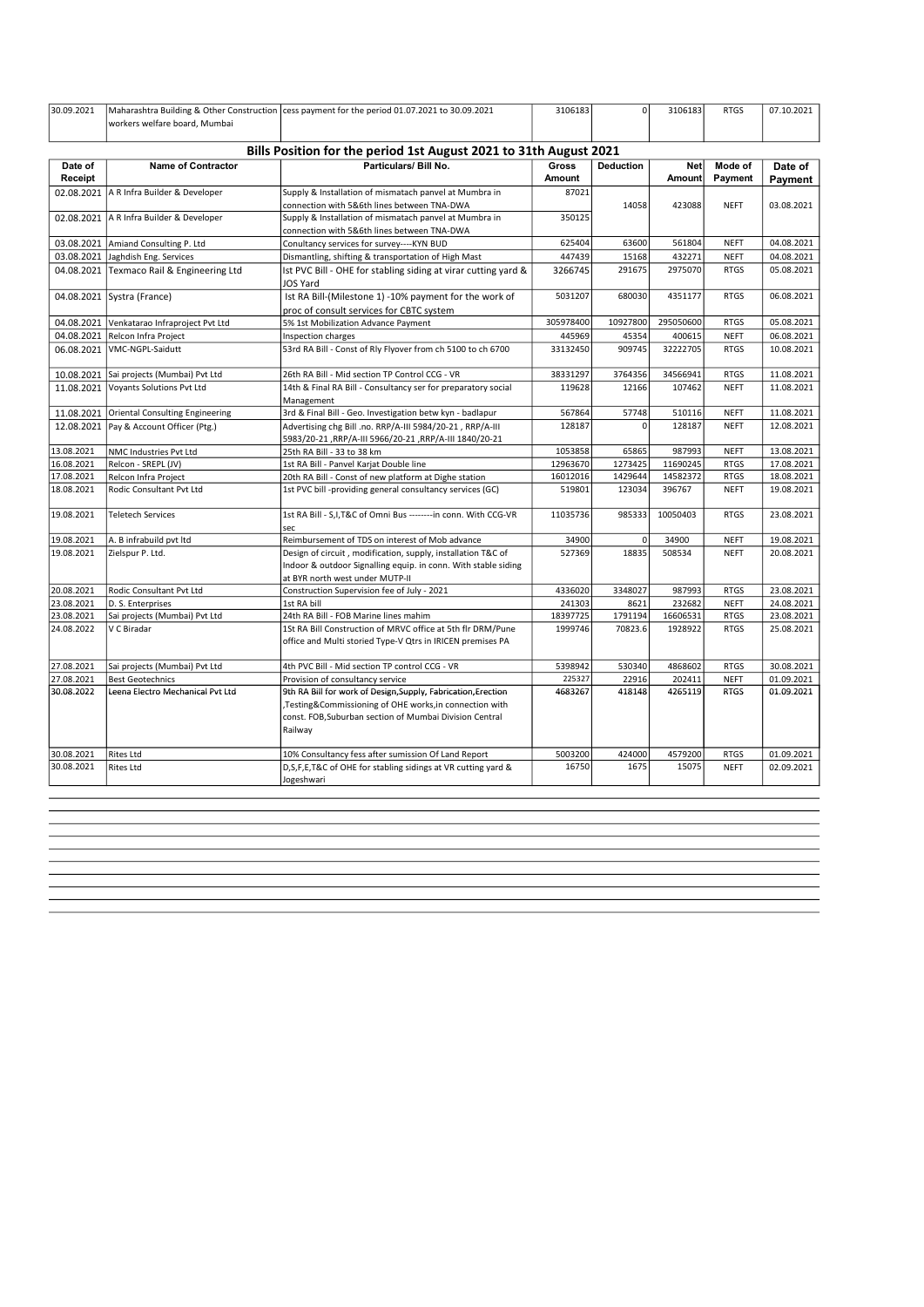| 30.09.2021         | workers welfare board, Mumbai              | Maharashtra Building & Other Construction cess payment for the period 01.07.2021 to 30.09.2021                                                                                                | 3106183                       | $\Omega$         | 3106183              | <b>RTGS</b>        | 07.10.2021         |
|--------------------|--------------------------------------------|-----------------------------------------------------------------------------------------------------------------------------------------------------------------------------------------------|-------------------------------|------------------|----------------------|--------------------|--------------------|
|                    |                                            | Bills Position for the period 1st August 2021 to 31th August 2021                                                                                                                             |                               |                  |                      |                    |                    |
| Date of<br>Receipt | <b>Name of Contractor</b>                  | Particulars/ Bill No.                                                                                                                                                                         | <b>Gross</b><br><b>Amount</b> | <b>Deduction</b> | <b>Net</b><br>Amount | Mode of<br>Payment | Date of<br>Payment |
|                    | 02.08.2021 A R Infra Builder & Developer   | Supply & Installation of mismatach panvel at Mumbra in<br>connection with 5&6th lines between TNA-DWA                                                                                         | 87021                         | 14058            | 423088               | <b>NEFT</b>        | 03.08.2021         |
|                    | 02.08.2021   A R Infra Builder & Developer | Supply & Installation of mismatach panvel at Mumbra in<br>connection with 5&6th lines between TNA-DWA                                                                                         | 350125                        |                  |                      |                    |                    |
| 03.08.2021         | Amiand Consulting P. Ltd                   | Conultancy services for survey----KYN BUD                                                                                                                                                     | 625404                        | 63600            | 561804               | <b>NEFT</b>        | 04.08.2021         |
| 03.08.2021         | Jaghdish Eng. Services                     | Dismantling, shifting & transportation of High Mast                                                                                                                                           | 447439                        | 15168            | 432271               | <b>NEFT</b>        | 04.08.2021         |
| 04.08.2021         | Texmaco Rail & Engineering Ltd             | Ist PVC Bill - OHE for stabling siding at virar cutting yard &<br>JOS Yard                                                                                                                    | 3266745                       | 291675           | 2975070              | <b>RTGS</b>        | 05.08.2021         |
|                    | 04.08.2021   Systra (France)               | Ist RA Bill-(Milestone 1) -10% payment for the work of<br>proc of consult services for CBTC system                                                                                            | 5031207                       | 680030           | 4351177              | <b>RTGS</b>        | 06.08.2021         |
|                    | 04.08.2021 Venkatarao Infraproject Pvt Ltd | 5% 1st Mobilization Advance Payment                                                                                                                                                           | 305978400                     | 10927800         | 295050600            | <b>RTGS</b>        | 05.08.2021         |
| 04.08.2021         | Relcon Infra Project                       | Inspection charges                                                                                                                                                                            | 445969                        | 45354            | 400615               | <b>NEFT</b>        | 06.08.2021         |
| 06.08.2021         | VMC-NGPL-Saidutt                           | 53rd RA Bill - Const of Rly Flyover from ch 5100 to ch 6700                                                                                                                                   | 33132450                      | 909745           | 32222705             | <b>RTGS</b>        | 10.08.2021         |
| 10.08.2021         | Sai projects (Mumbai) Pvt Ltd              | 26th RA Bill - Mid section TP Control CCG - VR                                                                                                                                                | 38331297                      | 3764356          | 34566941             | <b>RTGS</b>        | 11.08.2021         |
|                    | 11.08.2021 Voyants Solutions Pvt Ltd       | 14th & Final RA Bill - Consultancy ser for preparatory social<br>Management                                                                                                                   | 119628                        | 12166            | 107462               | <b>NEFT</b>        | 11.08.2021         |
| 11.08.2021         | <b>Oriental Consulting Engineering</b>     | 3rd & Final Bill - Geo. Investigation betw kyn - badlapur                                                                                                                                     | 567864                        | 57748            | 510116               | <b>NEFT</b>        | 11.08.2021         |
| 12.08.2021         | Pay & Account Officer (Ptg.)               | Advertising chg Bill .no. RRP/A-III 5984/20-21, RRP/A-III<br>5983/20-21 ,RRP/A-III 5966/20-21 ,RRP/A-III 1840/20-21                                                                           | 128187                        | $\Omega$         | 128187               | <b>NEFT</b>        | 12.08.2021         |
| 13.08.2021         | NMC Industries Pvt Ltd                     | 25th RA Bill - 33 to 38 km                                                                                                                                                                    | 1053858                       | 65865            | 987993               | <b>NEFT</b>        | 13.08.2021         |
| 16.08.2021         | Relcon - SREPL (JV)                        | 1st RA Bill - Panvel Karjat Double line                                                                                                                                                       | 12963670                      | 1273425          | 11690245             | <b>RTGS</b>        | 17.08.2021         |
| 17.08.2021         | Relcon Infra Project                       | 20th RA Bill - Const of new platform at Dighe station                                                                                                                                         | 16012016                      | 1429644          | 14582372             | <b>RTGS</b>        | 18.08.2021         |
| 18.08.2021         | Rodic Consultant Pvt Ltd                   | 1st PVC bill -providing general consultancy services (GC)                                                                                                                                     | 519801                        | 123034           | 396767               | <b>NEFT</b>        | 19.08.2021         |
| 19.08.2021         | <b>Teletech Services</b>                   | 1st RA Bill - S, I, T&C of Omni Bus -------- in conn. With CCG-VR<br>sec                                                                                                                      | 11035736                      | 985333           | 10050403             | <b>RTGS</b>        | 23.08.2021         |
| 19.08.2021         | A. B infrabuild pvt ltd                    | Reimbursement of TDS on interest of Mob advance                                                                                                                                               | 34900                         | $\mathbf 0$      | 34900                | <b>NEFT</b>        | 19.08.2021         |
| 19.08.2021         | Zielspur P. Ltd.                           | Design of circuit, modification, supply, installation T&C of<br>Indoor & outdoor Signalling equip. in conn. With stable siding<br>at BYR north west under MUTP-II                             | 527369                        | 18835            | 508534               | <b>NEFT</b>        | 20.08.2021         |
| 20.08.2021         | Rodic Consultant Pvt Ltd                   | Construction Supervision fee of July - 2021                                                                                                                                                   | 4336020                       | 3348027          | 987993               | <b>RTGS</b>        | 23.08.2021         |
| 23.08.2021         | D. S. Enterprises                          | 1st RA bill                                                                                                                                                                                   | 241303                        | 8621             | 232682               | <b>NEFT</b>        | 24.08.2021         |
| 23.08.2021         | Sai projects (Mumbai) Pvt Ltd              | 24th RA Bill - FOB Marine lines mahim                                                                                                                                                         | 18397725                      | 1791194          | 16606531             | <b>RTGS</b>        | 23.08.2021         |
| 24.08.2022         | V C Biradar                                | 1St RA Bill Construction of MRVC office at 5th flr DRM/Pune<br>office and Multi storied Type-V Qtrs in IRICEN premises PA                                                                     | 1999746                       | 70823.6          | 1928922              | <b>RTGS</b>        | 25.08.2021         |
| 27.08.2021         | Sai projects (Mumbai) Pvt Ltd              | 4th PVC Bill - Mid section TP control CCG - VR                                                                                                                                                | 5398942                       | 530340           | 4868602              | <b>RTGS</b>        | 30.08.2021         |
| 27.08.2021         | <b>Best Geotechnics</b>                    | Provision of consultancy service                                                                                                                                                              | 225327                        | 22916            | 202411               | <b>NEFT</b>        | 01.09.2021         |
| 30.08.2022         | Leena Electro Mechanical Pvt Ltd           | 9th RA Bill for work of Design, Supply, Fabrication, Erection<br>,Testing&Commissioning of OHE works,in connection with<br>const. FOB, Suburban section of Mumbai Division Central<br>Railway | 4683267                       | 418148           | 4265119              | <b>RTGS</b>        | 01.09.2021         |
| 30.08.2021         | <b>Rites Ltd</b>                           | 10% Consultancy fess after sumission Of Land Report                                                                                                                                           | 5003200                       | 424000           | 4579200              | <b>RTGS</b>        | 01.09.2021         |
| 30.08.2021         | <b>Rites Ltd</b>                           | D, S, F, E, T&C of OHE for stabling sidings at VR cutting yard &<br>Jogeshwari                                                                                                                | 16750                         | 1675             | 15075                | <b>NEFT</b>        | 02.09.2021         |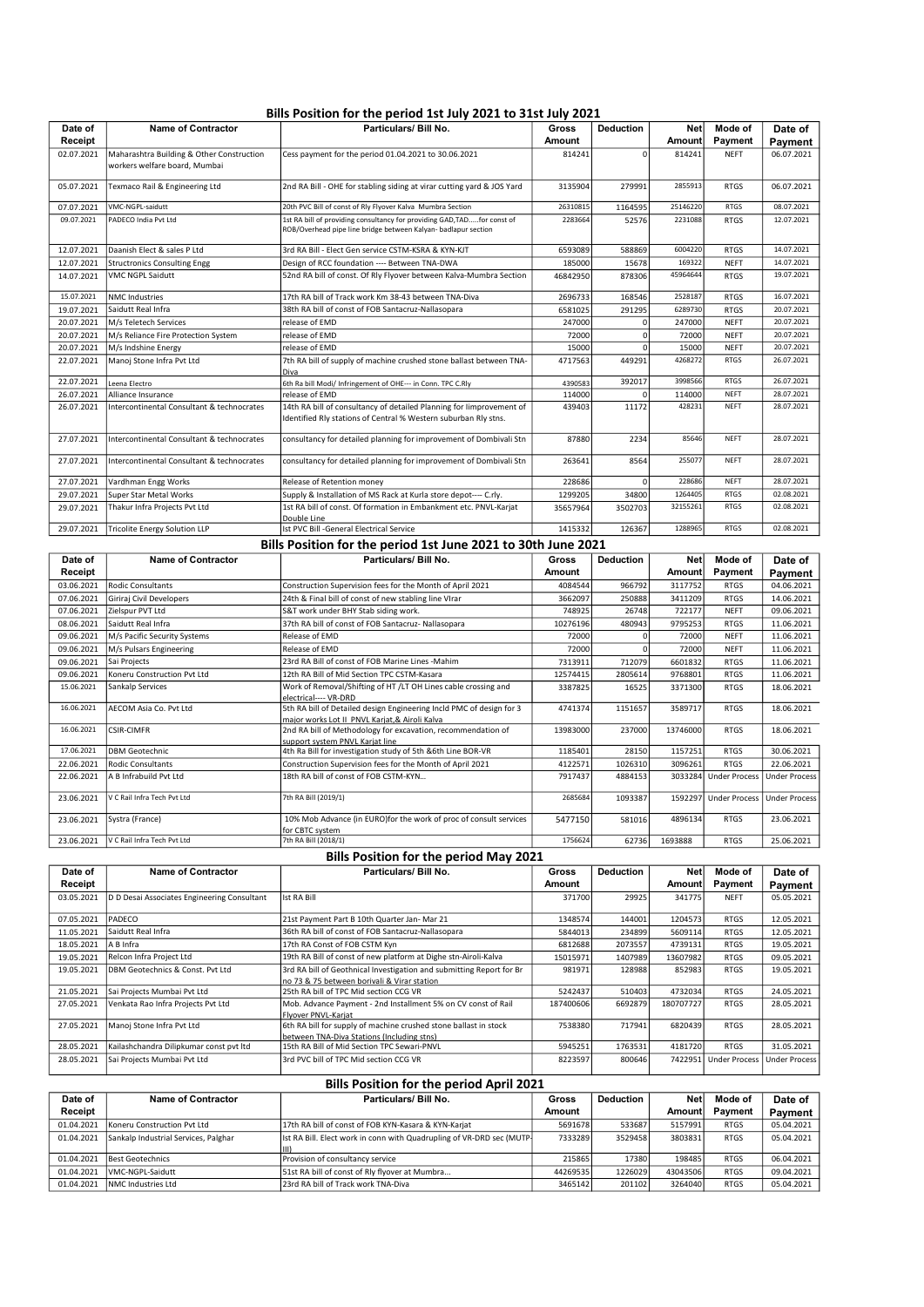## Bills Position for the period 1st July 2021 to 31st July 2021

| Particulars/ Bill No.<br>Date of<br><b>Name of Contractor</b><br><b>Deduction</b><br><b>Net</b><br>Mode of<br>Gross<br>Receipt<br>Payment<br><b>Amount</b><br>Amount<br>Maharashtra Building & Other Construction<br>02.07.2021<br>Cess payment for the period 01.04.2021 to 30.06.2021<br>814241<br><b>NEFT</b><br>814241<br>$\Omega$ | Date of<br>Payment<br>06.07.2021 |
|----------------------------------------------------------------------------------------------------------------------------------------------------------------------------------------------------------------------------------------------------------------------------------------------------------------------------------------|----------------------------------|
|                                                                                                                                                                                                                                                                                                                                        |                                  |
|                                                                                                                                                                                                                                                                                                                                        |                                  |
|                                                                                                                                                                                                                                                                                                                                        |                                  |
| workers welfare board, Mumbai                                                                                                                                                                                                                                                                                                          |                                  |
|                                                                                                                                                                                                                                                                                                                                        |                                  |
| Texmaco Rail & Engineering Ltd<br>2nd RA Bill - OHE for stabling siding at virar cutting yard & JOS Yard<br>3135904<br>2855913<br>05.07.2021<br>279991<br><b>RTGS</b>                                                                                                                                                                  | 06.07.2021                       |
| 20th PVC Bill of const of Rly Flyover Kalva Mumbra Section<br>VMC-NGPL-saidutt<br>25146220<br>26310815<br><b>RTGS</b><br>07.07.2021<br>1164595                                                                                                                                                                                         | 08.07.2021                       |
| 1st RA bill of providing consultancy for providing GAD, TADfor const of<br>09.07.2021<br>2283664<br>2231088<br>PADECO India Pvt Ltd<br>52576<br><b>RTGS</b>                                                                                                                                                                            | 12.07.2021                       |
| ROB/Overhead pipe line bridge between Kalyan- badlapur section                                                                                                                                                                                                                                                                         |                                  |
| 3rd RA Bill - Elect Gen service CSTM-KSRA & KYN-KJT<br>Daanish Elect & sales P Ltd<br>6004220<br>12.07.2021<br>6593089<br>588869<br><b>RTGS</b>                                                                                                                                                                                        | 14.07.2021                       |
| 185000<br>169322<br>12.07.2021<br>Structronics Consulting Engg<br>Design of RCC foundation ---- Between TNA-DWA<br>15678<br><b>NEFT</b>                                                                                                                                                                                                | 14.07.2021                       |
| 52nd RA bill of const. Of Rly Flyover between Kalva-Mumbra Section<br>14.07.2021<br>VMC NGPL Saidutt<br>46842950<br>45964644<br>878306<br><b>RTGS</b>                                                                                                                                                                                  | 19.07.2021                       |
| 15.07.2021<br>2528187<br>17th RA bill of Track work Km 38-43 between TNA-Diva<br><b>NMC Industries</b><br>2696733<br>168546<br><b>RTGS</b>                                                                                                                                                                                             | 16.07.2021                       |
| 6289730<br>Saidutt Real Infra<br>38th RA bill of const of FOB Santacruz-Nallasopara<br>19.07.2021<br>6581025<br>291295<br><b>RTGS</b>                                                                                                                                                                                                  | 20.07.2021                       |
| M/s Teletech Services<br>release of EMD<br>20.07.2021<br>247000<br>247000<br><b>NEFT</b><br>$\Omega$                                                                                                                                                                                                                                   | 20.07.2021                       |
| 20.07.2021<br>M/s Reliance Fire Protection System<br>release of EMD<br>72000<br>72000<br><b>NEFT</b>                                                                                                                                                                                                                                   | 20.07.2021                       |
| 20.07.2021<br>M/s Indshine Energy<br>release of EMD<br>15000<br>15000<br><b>NEFT</b>                                                                                                                                                                                                                                                   | 20.07.2021                       |
| 4268272<br>Manoj Stone Infra Pvt Ltd<br><b>RTGS</b><br>22.07.2021<br>7th RA bill of supply of machine crushed stone ballast between TNA-<br>4717563<br>449291                                                                                                                                                                          | 26.07.2021                       |
| Diva                                                                                                                                                                                                                                                                                                                                   |                                  |
| 3998566<br><b>RTGS</b><br>22.07.2021<br>392017<br>Leena Electro<br>4390583<br>6th Ra bill Modi/ Infringement of OHE--- in Conn. TPC C.Rly                                                                                                                                                                                              | 26.07.2021                       |
| 26.07.2021<br>Alliance Insurance<br>release of EMD<br>114000<br>114000<br><b>NEFT</b>                                                                                                                                                                                                                                                  | 28.07.2021                       |
| 428231<br>14th RA bill of consultancy of detailed Planning for limprovement of<br>NEFT<br>26.07.2021<br>Intercontinental Consultant & technocrates<br>439403<br>11172                                                                                                                                                                  | 28.07.2021                       |
| Identified Rly stations of Central % Western suburban Rly stns.                                                                                                                                                                                                                                                                        |                                  |
| <b>NEFT</b><br>85646<br>consultancy for detailed planning for improvement of Dombivali Stn<br>27.07.2021<br>Intercontinental Consultant & technocrates<br>87880<br>2234                                                                                                                                                                | 28.07.2021                       |
|                                                                                                                                                                                                                                                                                                                                        |                                  |
| 255077<br><b>NEFT</b><br>consultancy for detailed planning for improvement of Dombivali Stn<br>263641<br>27.07.2021<br>Intercontinental Consultant & technocrates<br>8564                                                                                                                                                              | 28.07.2021                       |
|                                                                                                                                                                                                                                                                                                                                        |                                  |
| 228686<br><b>NEFT</b><br>27.07.2021<br>Vardhman Engg Works<br>Release of Retention money<br>228686<br>U                                                                                                                                                                                                                                | 28.07.2021                       |
| Supply & Installation of MS Rack at Kurla store depot---- C.rly.<br>1264405<br>Super Star Metal Works<br><b>RTGS</b><br>29.07.2021<br>1299205<br>34800                                                                                                                                                                                 | 02.08.2021                       |
| 1st RA bill of const. Of formation in Embankment etc. PNVL-Karjat<br>Thakur Infra Projects Pvt Ltd<br>32155261<br>29.07.2021<br>35657964<br>3502703<br><b>RTGS</b><br>Double Line                                                                                                                                                      | 02.08.2021                       |
| Ist PVC Bill -General Electrical Service<br>1288965<br><b>RTGS</b><br>Tricolite Energy Solution LLP<br>29.07.2021<br>1415332<br>126367                                                                                                                                                                                                 | 02.08.2021                       |

# Bills Position for the period 1st June 2021 to 30th June 2021

| Date of    | <b>Name of Contractor</b>     | Particulars/ Bill No.                                                                                                 | Gross    | <b>Deduction</b> | Net      | Mode of               | Date of              |
|------------|-------------------------------|-----------------------------------------------------------------------------------------------------------------------|----------|------------------|----------|-----------------------|----------------------|
| Receipt    |                               |                                                                                                                       | Amount   |                  | Amount   | Payment               | Payment              |
| 03.06.2021 | <b>Rodic Consultants</b>      | Construction Supervision fees for the Month of April 2021                                                             | 4084544  | 966792           | 3117752  | <b>RTGS</b>           | 04.06.2021           |
| 07.06.2021 | Giriraj Civil Developers      | 24th & Final bill of const of new stabling line VIrar                                                                 | 3662097  | 250888           | 3411209  | <b>RTGS</b>           | 14.06.2021           |
| 07.06.2021 | Zielspur PVT Ltd              | S&T work under BHY Stab siding work.                                                                                  | 748925   | 26748            | 722177   | <b>NEFT</b>           | 09.06.2021           |
| 08.06.2021 | Saidutt Real Infra            | 37th RA bill of const of FOB Santacruz- Nallasopara                                                                   | 10276196 | 480943           | 9795253  | <b>RTGS</b>           | 11.06.2021           |
| 09.06.2021 | M/s Pacific Security Systems  | Release of EMD                                                                                                        | 72000    |                  | 72000    | <b>NEFT</b>           | 11.06.2021           |
| 09.06.2021 | M/s Pulsars Engineering       | Release of EMD                                                                                                        | 72000    |                  | 72000    | <b>NEFT</b>           | 11.06.2021           |
| 09.06.2021 | lSai Proiects                 | 23rd RA Bill of const of FOB Marine Lines -Mahim                                                                      | 7313911  | 712079           | 6601832  | <b>RTGS</b>           | 11.06.2021           |
| 09.06.2021 | Koneru Construction Pvt Ltd   | 12th RA Bill of Mid Section TPC CSTM-Kasara                                                                           | 12574415 | 2805614          | 9768801  | <b>RTGS</b>           | 11.06.2021           |
| 15.06.2021 | Sankalp Services              | Work of Removal/Shifting of HT /LT OH Lines cable crossing and<br>electrical---- VR-DRD                               | 3387825  | 16525            | 3371300  | <b>RTGS</b>           | 18.06.2021           |
| 16.06.2021 | AECOM Asia Co. Pvt Ltd        | 5th RA bill of Detailed design Engineering Incld PMC of design for 3<br>maior works Lot II PNVL Kariat.& Airoli Kalva | 4741374  | 1151657          | 3589717  | <b>RTGS</b>           | 18.06.2021           |
| 16.06.2021 | <b>CSIR-CIMFR</b>             | 2nd RA bill of Methodology for excavation, recommendation of<br>support system PNVL Kariat line                       | 13983000 | 237000           | 13746000 | <b>RTGS</b>           | 18.06.2021           |
| 17.06.2021 | <b>DBM Geotechnic</b>         | 4th Ra Bill for investigation study of 5th &6th Line BOR-VR                                                           | 1185401  | 28150            | 1157251  | <b>RTGS</b>           | 30.06.2021           |
| 22.06.2021 | <b>Rodic Consultants</b>      | Construction Supervision fees for the Month of April 2021                                                             | 4122571  | 1026310          | 3096261  | <b>RTGS</b>           | 22.06.2021           |
| 22.06.2021 | A B Infrabuild Pvt Ltd        | 18th RA bill of const of FOB CSTM-KYN                                                                                 | 7917437  | 4884153          |          | 3033284 Under Process | <b>Under Process</b> |
| 23.06.2021 | V C Rail Infra Tech Pvt Ltd   | 7th RA Bill (2019/1)                                                                                                  | 2685684  | 1093387          | 1592297  | <b>Under Process</b>  | <b>Under Process</b> |
| 23.06.2021 | Systra (France)               | 10% Mob Advance (in EURO) for the work of proc of consult services<br>for CBTC system                                 | 5477150  | 581016           | 4896134  | <b>RTGS</b>           | 23.06.2021           |
| 23.06.2021 | l V C Rail Infra Tech Pvt Ltd | 7th RA Bill (2018/1)                                                                                                  | 1756624  | 62736            | 1693888  | <b>RTGS</b>           | 25.06.2021           |

# Bills Position for the period May 2021

| Date of    | Name of Contractor                          | Particulars/ Bill No.                                                                                               | Gross     | <b>Deduction</b> | Net       | Mode of              | Date of              |
|------------|---------------------------------------------|---------------------------------------------------------------------------------------------------------------------|-----------|------------------|-----------|----------------------|----------------------|
| Receipt    |                                             |                                                                                                                     | Amount    |                  | Amount    | Payment              | Payment              |
| 03.05.2021 | D D Desai Associates Engineering Consultant | Ist RA Bill                                                                                                         | 371700    | 29925            | 341775    | <b>NEFT</b>          | 05.05.2021           |
| 07.05.2021 | PADECO                                      | 21st Payment Part B 10th Quarter Jan-Mar 21                                                                         | 1348574   | 144001           | 1204573   | <b>RTGS</b>          | 12.05.2021           |
| 11.05.2021 | Saidutt Real Infra                          | 36th RA bill of const of FOB Santacruz-Nallasopara                                                                  | 5844013   | 234899           | 5609114   | <b>RTGS</b>          | 12.05.2021           |
| 18.05.2021 | IA B Infra                                  | 17th RA Const of FOB CSTM Kyn                                                                                       | 6812688   | 2073557          | 4739131   | <b>RTGS</b>          | 19.05.2021           |
| 19.05.2021 | Relcon Infra Project Ltd                    | 19th RA Bill of const of new platform at Dighe stn-Airoli-Kalva                                                     | 15015971  | 1407989          | 13607982  | <b>RTGS</b>          | 09.05.2021           |
| 19.05.2021 | DBM Geotechnics & Const. Pvt Ltd            | 3rd RA bill of Geothnical Investigation and submitting Report for Br<br>no 73 & 75 between borivali & Virar station | 981971    | 128988           | 852983    | <b>RTGS</b>          | 19.05.2021           |
| 21.05.2021 | Sai Projects Mumbai Pvt Ltd                 | 25th RA bill of TPC Mid section CCG VR                                                                              | 5242437   | 510403           | 4732034   | <b>RTGS</b>          | 24.05.2021           |
| 27.05.2021 | Venkata Rao Infra Projects Pvt Ltd          | Mob. Advance Payment - 2nd Installment 5% on CV const of Rail<br>Flvover PNVL-Kariat                                | 187400606 | 6692879          | 180707727 | <b>RTGS</b>          | 28.05.2021           |
| 27.05.2021 | Manoj Stone Infra Pvt Ltd                   | 6th RA bill for supply of machine crushed stone ballast in stock<br>between TNA-Diva Stations (Including stns)      | 7538380   | 717941           | 6820439   | <b>RTGS</b>          | 28.05.2021           |
| 28.05.2021 | Kailashchandra Dilipkumar const pvt Itd     | 15th RA Bill of Mid Section TPC Sewari-PNVL                                                                         | 5945251   | 1763531          | 4181720   | <b>RTGS</b>          | 31.05.2021           |
| 28.05.2021 | Sai Projects Mumbai Pvt Ltd                 | 3rd PVC bill of TPC Mid section CCG VR                                                                              | 8223597   | 800646           | 7422951   | <b>Under Process</b> | <b>Under Process</b> |

## Bills Position for the period April 2021

| Date of    | Name of Contractor                   | Particulars/ Bill No.                                                 | Gross    | Deduction | Net      | Mode of     | Date of    |
|------------|--------------------------------------|-----------------------------------------------------------------------|----------|-----------|----------|-------------|------------|
| Receipt    |                                      |                                                                       | Amount   |           | Amountl  | Pavment     | Payment    |
| 01.04.2021 | Koneru Construction Pvt Ltd          | 17th RA bill of const of FOB KYN-Kasara & KYN-Karjat                  | 5691678  | 533687    | 5157991  | <b>RTGS</b> | 05.04.2021 |
| 01.04.2021 | Sankalp Industrial Services. Palghar | Ist RA Bill. Elect work in conn with Quadrupling of VR-DRD sec (MUTP- | 7333289  | 3529458   | 3803831  | <b>RTGS</b> | 05.04.2021 |
|            |                                      |                                                                       |          |           |          |             |            |
| 01.04.2021 | Best Geotechnics                     | Provision of consultancy service                                      | 215865   | 17380     | 198485   | <b>RTGS</b> | 06.04.2021 |
| 01.04.2021 | VMC-NGPL-Saidutt                     | 51st RA bill of const of Rly flyover at Mumbra                        | 44269535 | 1226029   | 43043506 | <b>RTGS</b> | 09.04.2021 |
| 01.04.2021 | <b>NMC</b> Industries Ltd            | 23rd RA bill of Track work TNA-Diva                                   | 3465142  | 201102    | 3264040  | <b>RTGS</b> | 05.04.2021 |